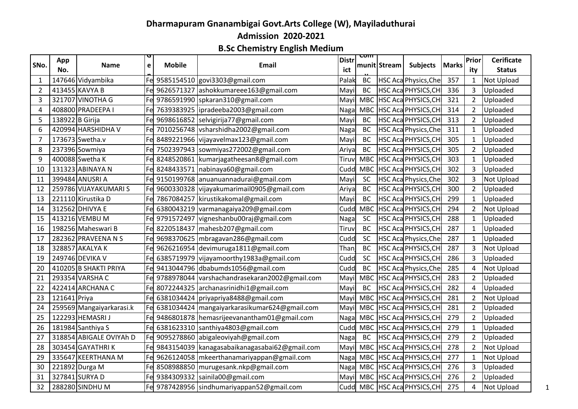## **Dharmapuram Gnanambigai Govt.Arts College (W), Mayiladuthurai Admission 2020-2021**

## **B.Sc Chemistry English Medium**

|      | App             |                          | ਚ           |               |                                                     | Distr | प्णा       |              |                              |       | Prior          | <b>Cerificate</b> |
|------|-----------------|--------------------------|-------------|---------------|-----------------------------------------------------|-------|------------|--------------|------------------------------|-------|----------------|-------------------|
| SNo. | No.             | <b>Name</b>              | $\mathbf e$ | <b>Mobile</b> | Email                                               | ict   |            | munit Stream | <b>Subjects</b>              | Marks | ity            | <b>Status</b>     |
|      |                 | 147646 Vidyambika        |             |               | Fe 9585154510 govi3303@gmail.com                    | Palak | <b>BC</b>  |              | HSC Aca Physics, Che         | 357   | $\mathbf{1}$   | <b>Not Upload</b> |
| 2    |                 | 413455 KAVYA B           | Fel         |               | 9626571327 ashokkumareee163@gmail.com               | Mayi  | <b>BC</b>  |              | HSC Aca PHYSICS, CH          | 336   | 3              | Uploaded          |
| 3    |                 | 321707 VINOTHA G         |             |               | Fe 9786591990   spkaran 310@gmail.com               | Mayi  | <b>MBC</b> |              | HSC Aca PHYSICS, CH          | 321   | $\overline{2}$ | Uploaded          |
| Δ    |                 | 408800 PRADEEPA I        |             |               | Fe 7639383925  ipradeeba2003@gmail.com              | Naga  | <b>MBC</b> |              | HSC Aca PHYSICS, CH          | 314   | $\overline{2}$ | Uploaded          |
| 5    | 138922 B Girija |                          | Fe          |               | 9698616852 selvigirija77@gmail.com                  | Mayi  | BC         |              | HSC Aca PHYSICS, CH          | 313   | $\overline{2}$ | Uploaded          |
| 6    |                 | 420994 HARSHIDHA V       |             |               | Fe 7010256748 vsharshidha2002@gmail.com             | Nagal | BC         |              | HSC Aca Physics, Che         | 311   | $\mathbf{1}$   | Uploaded          |
|      |                 | 173673 Swetha.v          | Fel         |               | 8489221966 vijayavelmax123@gmail.com                | Mayi  | BC         |              | HSC Aca PHYSICS, CH          | 305   | $\mathbf{1}$   | Uploaded          |
| 8    |                 | 237396 Sowmiya           | Fe          |               | 7502397943 sowmiyas272002@gmail.com                 | Ariya | <b>BC</b>  |              | HSC Aca PHYSICS, CH          | 305   | $\overline{2}$ | Uploaded          |
| 9    |                 | 400088 Swetha K          | Fe          |               | 8248520861 kumarjagatheesan8@gmail.com              | Tiruv | <b>MBC</b> |              | HSC Aca PHYSICS, CH          | 303   | $\mathbf{1}$   | Uploaded          |
| 10   |                 | 131323 ABINAYA N         | Fe          |               | 8248433571   nabinaya60@gmail.com                   | Cudd  | <b>MBC</b> |              | HSC Aca PHYSICS, CH          | 302   | 3              | Uploaded          |
| 11   |                 | 399484 ANUSRI A          | Fe          |               | 9150199768 anuanuannadurai@gmail.com                | Mayi  | <b>SC</b>  |              | HSC Aca Physics, Che         | 302   | 3              | <b>Not Upload</b> |
| 12   |                 | 259786 VIJAYAKUMARI S    | Fe          |               | 9600330328 vijayakumarimail0905@gmail.com           | Ariya | <b>BC</b>  |              | HSC Aca PHYSICS, CH          | 300   | $\overline{2}$ | Uploaded          |
| 13   |                 | 221110 Kirustika D       | Fel         |               | 7867084257 kirustikakomal@gmail.com                 | Mayi  | <b>BC</b>  |              | HSC Aca PHYSICS, CH          | 299   | 1              | Uploaded          |
| 14   |                 | 312562 DHIVYA E          | Fel         |               | 6380043219 varmanagaiya209@gmail.com                | Cudd  | <b>MBC</b> |              | HSC Aca PHYSICS, CH          | 294   | $\overline{2}$ | Not Upload        |
| 15   |                 | 413216 VEMBU M           |             |               | Fe 9791572497 vigneshanbu00raj@gmail.com            | Naga  | <b>SC</b>  |              | HSC Aca PHYSICS, CH          | 288   | $\mathbf{1}$   | Uploaded          |
| 16   |                 | 198256 Maheswari B       |             |               | Fe 8220518437   mahesb207@gmail.com                 | Tiruv | <b>BC</b>  |              | HSC Aca PHYSICS, CH          | 287   | $\mathbf{1}$   | Uploaded          |
| 17   |                 | 282362 PRAVEENA N S      | Fe          |               | 9698370625   mbragavan286@gmail.com                 | Cudd  | SC         |              | HSC Aca Physics, Che         | 287   | $\mathbf{1}$   | Uploaded          |
| 18   |                 | 328857 AKALYA K          |             |               | Fe 9626216954 devimuruga1811@gmail.com              | Than  | BC         |              | HSC Aca PHYSICS, CH          | 287   | 3              | Not Upload        |
| 19   |                 | 249746 DEVIKA V          | Fel         |               | 6385719979 vijayamoorthy1983a@gmail.com             | Cudd  | <b>SC</b>  |              | HSC Aca PHYSICS, CH          | 286   | 3              | Uploaded          |
| 20   |                 | 410205 B SHAKTI PRIYA    | Fel         |               | 9413044796 dbabumds1056@gmail.com                   | Cudd  | <b>BC</b>  |              | HSC Aca Physics, Che         | 285   | 4              | Not Upload        |
| 21   |                 | 293354 VARSHA C          |             |               | Fe 9788978044 varshachandrasekaran2002@gmail.com    | Mayi  | <b>MBC</b> |              | HSC Aca PHYSICS, CH          | 283   | $\overline{2}$ | Uploaded          |
| 22   |                 | 422414 ARCHANA C         |             |               | Fe 8072244325 archanasrinidhi1@gmail.com            | Mayi  | BC         |              | HSC Aca PHYSICS, CH          | 282   | 4              | Uploaded          |
| 23   | 121641 Priya    |                          | Fel         |               | 6381034424 priyapriya8488@gmail.com                 | Mayil | <b>MBC</b> |              | HSC Aca PHYSICS, CH          | 281   | $\overline{2}$ | <b>Not Upload</b> |
| 24   |                 | 259569 Mangaiyarkarasi.k | Fe          |               | 6381034424   mangaiyarkarasikumar624@gmail.com      | Mayi  |            |              | MBC   HSC Aca PHYSICS, CH    | 281   | $\overline{2}$ | Uploaded          |
| 25   |                 | 122293 HEMASRI J         | Fel         |               | 9486801878 hemasrijeevanantham01@gmail.com          | Naga  | <b>MBC</b> |              | HSC Aca PHYSICS, CH          | 279   | $\overline{2}$ | Uploaded          |
| 26   |                 | 181984 Santhiya S        | Fe          |               | 6381623310 santhiya4803@gmail.com                   | Cudd  | <b>MBC</b> |              | HSC Aca PHYSICS, CH          | 279   | $\mathbf{1}$   | Uploaded          |
| 27   |                 | 318854 ABIGALE OVIYAh D  | Fe          |               | 9095278860 abigaleoviyah@gmail.com                  | Naga  | BC         |              | HSC Aca PHYSICS, CH          | 279   | $\overline{2}$ | Uploaded          |
| 28   |                 | 303454 GAYATHRIK         |             |               | Fel 9843154039   kanagasabaikanagasabai62@gmail.com | Mayi  | <b>MBC</b> |              | HSC Aca PHYSICS, CH          | 278   | $\overline{2}$ | <b>Not Upload</b> |
| 29   |                 | 335647 KEERTHANA M       | Fel         |               | 9626124058   mkeerthanamariyappan@gmail.com         | Naga  |            |              | MBC HSC Aca PHYSICS, CH      | 277   | $\mathbf{1}$   | <b>Not Upload</b> |
| 30   |                 | 221892 Durga M           | Fe          |               | 8508988850 murugesank.nkp@gmail.com                 | Naga  |            |              | MBC HSC Aca PHYSICS, CH      | 276   | 3              | Uploaded          |
| 31   |                 | 327841 SURYA D           |             |               | Fe 9384309332 sainila00@gmail.com                   | Mayil |            |              | MBC HSC Aca PHYSICS, CH      | 276   | $\overline{2}$ | Uploaded          |
| 32   |                 | 288280 SINDHU M          |             |               | Fe 9787428956 sindhumariyappan52@gmail.com          |       |            |              | Cudd MBC HSC Aca PHYSICS, CH | 275   | 4              | Not Upload        |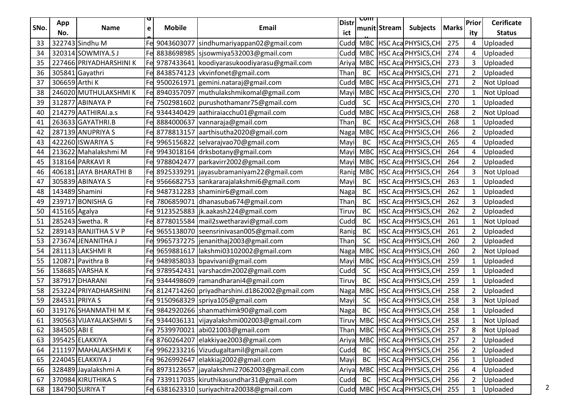| SNo.     | App            | <b>Name</b>             | u<br>$\mathbf{e}$ | <b>Mobile</b> | Email                                                                                       | <b>Distr</b>  | <u>रणाा</u> | munit Stream | <b>Subjects</b>                                    | <b>Marks</b> | Prior          | <b>Cerificate</b>         |
|----------|----------------|-------------------------|-------------------|---------------|---------------------------------------------------------------------------------------------|---------------|-------------|--------------|----------------------------------------------------|--------------|----------------|---------------------------|
| 33       | No.            | 322743 Sindhu M         |                   | Fe 9043603077 |                                                                                             | ict<br>Cudd   |             |              |                                                    | 275          | ity            | <b>Status</b><br>Uploaded |
|          |                | 320314 SOWMIYA.SJ       |                   |               | sindhumariyappan02@gmail.com                                                                |               |             |              | MBC HSC Aca PHYSICS, CH<br>MBC HSC Aca PHYSICS, CH |              | 4              |                           |
| 34<br>35 |                | 227466 PRIYADHARSHINI K |                   |               | Fe 8838698985   sjsowmiya532003@gmail.com<br>Fe 9787433641 koodiyarasukoodiyarasu@gmail.com | Cudd          |             |              | MBC HSC Aca PHYSICS, CH                            | 274<br>273   | 4<br>3         | Uploaded<br>Uploaded      |
| 36       |                | 305841 Gayathri         |                   |               | Fe 8438574123 vkvinfonet@gmail.com                                                          | Ariya<br>Than | BC          |              | HSC Aca PHYSICS, CH                                | 271          | $\overline{2}$ | Uploaded                  |
| 37       | 306659 Arthi K |                         |                   |               | Fe 9500261971 gemini.nataraj@gmail.com                                                      | Cudd          |             |              | MBC HSC Aca PHYSICS, CH                            | 271          | $\overline{2}$ | Not Upload                |
| 38       |                | 246020 MUTHULAKSHMIK    |                   |               | Fe 8940357097 muthulakshmikomal@gmail.com                                                   | Mayil         |             |              | MBC   HSC Aca PHYSICS, CH                          | 270          | $\mathbf{1}$   | Not Upload                |
| 39       |                | 312877 ABINAYA P        |                   |               | Fe 7502981602 purushothamanr75@gmail.com                                                    | Cudd          | <b>SC</b>   |              | <b>HSC Aca PHYSICS, CH</b>                         | 270          | $\mathbf{1}$   | Uploaded                  |
| 40       |                | 214279 AATHIRAI.a.s     |                   |               | Fe 9344340429 aathiraiacchu01@gmail.com                                                     | Cudd          |             |              | MBC HSC Aca PHYSICS, CH                            | 268          | $\overline{2}$ | Not Upload                |
| 41       |                | 263633 GAYATHRI.B       |                   |               | Fel 8884000637 vannaraja@gmail.com                                                          | Than          | BC          |              | HSC Aca PHYSICS, CH                                | 268          | $\mathbf{1}$   | Uploaded                  |
| 42       |                | 287139 ANUPRIYA S       |                   |               | Fe 8778813157 aarthisutha2020@gmail.com                                                     | Naga          | <b>MBC</b>  |              | HSC Aca PHYSICS, CH                                | 266          | $\overline{2}$ | Uploaded                  |
| 43       |                | 422260 ISWARIYA S       |                   |               | Fe 9965156822 selvarajvao70@gmail.com                                                       | Mayil         | <b>BC</b>   |              | HSC Aca PHYSICS, CH                                | 265          | 4              | Uploaded                  |
| 44       |                | 213622 Mahalakshmi M    |                   |               | Fe 9943018164 drksbotany@gmail.com                                                          | Mayi          |             |              | MBC HSC Aca PHYSICS, CH                            | 264          | 4              | Uploaded                  |
| 45       |                | 318164 PARKAVI R        |                   |               | Fe 9788042477   parkavirr2002@gmail.com                                                     | Mayil         |             |              | MBC HSC Aca PHYSICS, CH                            | 264          | $\overline{2}$ | Uploaded                  |
| 46       |                | 406181 JAYA BHARATHI B  |                   |               | Fel 8925339291   jayasubramaniyam22@gmail.com                                               | Ranip         | <b>MBC</b>  |              | HSC Aca PHYSICS, CH                                | 264          | 3              | Not Upload                |
| 47       |                | 305839 ABINAYA S        |                   |               | Fe 9566682753 sankararajalakshmi6@gmail.com                                                 | Mayi          | BC          |              | HSC Aca PHYSICS, CH                                | 263          | $\mathbf{1}$   | Uploaded                  |
| 48       |                | 143489 Shamini          |                   |               | Fel 9487312283  shaminir6@gmail.com                                                         | Naga          | BC          |              | HSC Aca PHYSICS, CH                                | 262          | $\mathbf{1}$   | Uploaded                  |
| 49       |                | 239717 BONISHA G        |                   |               | Fe 7806859071 dhanasuba674@gmail.com                                                        | Than          | BC          |              | HSC Aca PHYSICS, CH                                | 262          | 3              | Uploaded                  |
| 50       | 415165 Agalya  |                         |                   |               | Fe 9123525883   jk.aakash224@gmail.com                                                      | Tiruv         | BC          |              | HSC Aca PHYSICS, CH                                | 262          | $\overline{2}$ | Uploaded                  |
| 51       |                | 285243 Swetha. R        |                   |               | Fe 8778015584   mail2swetharavi@gmail.com                                                   | Cudd          | BC          |              | HSC Aca PHYSICS, CH                                | 261          | $\mathbf{1}$   | Not Upload                |
| 52       |                | 289143 RANJITHA S V P   |                   |               | Fel 9655138070 seensrinivasan005@gmail.com                                                  | Ranip         | <b>BC</b>   |              | HSC Aca PHYSICS, CH                                | 261          | $\overline{2}$ | Uploaded                  |
| 53       |                | 273674 JENANITHA J      |                   |               | Fe 9965737275 jenanithaj2003@gmail.com                                                      | Thanj         | <b>SC</b>   |              | HSC Aca PHYSICS, CH                                | 260          | $\overline{2}$ | Uploaded                  |
| 54       |                | 281113 LAKSHMIR         |                   |               | Fe 9659881617   lakshmi03102002@gmail.com                                                   | Naga          | <b>MBC</b>  |              | <b>HSC Aca PHYSICS, CH</b>                         | 260          | $\mathbf{2}$   | Not Upload                |
| 55       |                | 120871 Pavithra B       |                   |               | Fe 9489858033 bpavivani@gmail.com                                                           | Mayi          | <b>MBC</b>  |              | HSC Aca PHYSICS, CH                                | 259          | $\mathbf{1}$   | Uploaded                  |
| 56       |                | 158685 VARSHAK          |                   |               | Fe 9789542431 varshacdm2002@gmail.com                                                       | Cudd          | <b>SC</b>   |              | HSC Aca PHYSICS, CH                                | 259          | $\mathbf{1}$   | Uploaded                  |
| 57       |                | 387917 DHARANI          |                   |               | Fe 9344498609   ramandharani4@gmail.com                                                     | Tiruv         | BC          |              | HSC Aca PHYSICS, CH                                | 259          | $\mathbf{1}$   | Uploaded                  |
| 58       |                | 253224 PRIYADHARSHINI   |                   |               | Fe 8124714260 priyadharshini.d1862002@gmail.com                                             | Naga          | <b>MBC</b>  |              | HSC Aca PHYSICS, CH                                | 258          | $\overline{2}$ | Uploaded                  |
| 59       |                | 284531 PRIYA S          |                   |               | Fe 9150968329 spriya105@gmail.com                                                           | Mayi          | <b>SC</b>   |              | HSC Aca PHYSICS, CH                                | 258          | 3              | Not Upload                |
| 60       |                | 319176 SHANMATHI MK     |                   |               | Fe 9842920266 shanmathimk90@gmail.com                                                       | Nagal         | <b>BC</b>   |              | HSC Aca PHYSICS, CH                                | 258          | $\mathbf{1}$   | Uploaded                  |
| 61       |                | 390563 VIJAYALAKSHMIS   |                   |               | Fe 9344036131 vijayalakshmi002003@gmail.com                                                 |               |             |              | Tiruv MBC HSC Aca PHYSICS, CH                      | 258          | $\mathbf{1}$   | Not Upload                |
| 62       | 384505 ABI E   |                         |                   | Fe 7539970021 | abi021003@gmail.com                                                                         | Than          |             |              | MBC HSC Aca PHYSICS, CH                            | 257          | 8              | Not Upload                |
| 63       |                | 395425 ELAKKIYA         |                   | Fe 8760264207 | elakkiyae2003@gmail.com                                                                     | Ariya         |             |              | MBC HSC Aca PHYSICS, CH                            | 257          | $\overline{2}$ | Uploaded                  |
| 64       |                | 211197 MAHALAKSHMIK     |                   |               | Fe 9962233216 Vizudugaltamil@gmail.com                                                      | Cudd          | BC          |              | HSC Aca PHYSICS, CH                                | 256          | $\overline{2}$ | Uploaded                  |
| 65       |                | 224045 ELAKKIYA J       |                   | Fe 9626992647 | elakkiaj2002@gmail.com                                                                      | Mayil         | BC          |              | HSC Aca PHYSICS, CH                                | 256          | $\mathbf{1}$   | Uploaded                  |
| 66       |                | 328489 Jayalakshmi A    |                   |               | Fe 8973123657   jayalakshmi 27062003@gmail.com                                              | Ariya         |             |              | MBC HSC Aca PHYSICS, CH                            | 256          | 4              | Uploaded                  |
| 67       |                | 370984 KIRUTHIKA S      |                   |               | Fe 7339117035   kiruthikasundhar31@gmail.com                                                | Cudd          | BC          |              | <b>HSC Aca PHYSICS, CH</b>                         | 256          | $\overline{2}$ | Uploaded                  |
| 68       |                | 184790 SURIYA T         |                   |               | Fe 6381623310 suriyachitra20038@gmail.com                                                   |               |             |              | Cudd MBC HSC Aca PHYSICS, CH                       | 255          | $\mathbf{1}$   | Uploaded                  |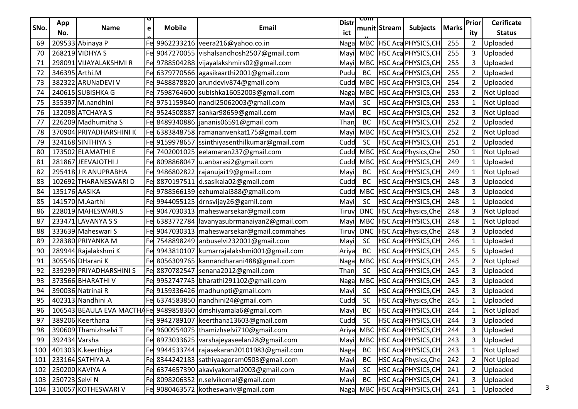| SNo. | App            | <b>Name</b>             | $\mathbf{e}$ | <b>Mobile</b> | Email                                                        | <b>Distr</b> | <u>रणाा</u> | munit Stream | <b>Subjects</b>              | <b>Marks</b> | Prior                 | <b>Cerificate</b>         |
|------|----------------|-------------------------|--------------|---------------|--------------------------------------------------------------|--------------|-------------|--------------|------------------------------|--------------|-----------------------|---------------------------|
| 69   | No.            | 209533 Abinaya P        |              |               | Fe 9962233216 veera216@yahoo.co.in                           | ict<br>Nagal |             |              | MBC HSC Aca PHYSICS, CH      | 255          | ity<br>$\overline{2}$ | <b>Status</b><br>Uploaded |
| 70   |                | 268219 VIDHYA S         |              |               | Fe 9047270055 vishalsandhosh2507@gmail.com                   | Mayil        |             |              | MBC HSC Aca PHYSICS, CH      | 255          | 3                     | Uploaded                  |
| 71   |                | 298091 VIJAYALAKSHMI R  |              |               | Fe 9788504288 vijayalakshmirs02@gmail.com                    | Mayil        |             |              | MBC HSC Aca PHYSICS, CH      | 255          | 3                     | Uploaded                  |
| 72   |                | 346395 Arthi.M          |              |               | Fe 6379770566 agasikaarthi2001@gmail.com                     | Pudu         | BC          |              | HSC Aca PHYSICS, CH          | 255          | $\overline{2}$        | Uploaded                  |
| 73   |                | 382322 ARUNaDEVI V      |              |               | Fe 9488878820 arundeviv874@gmail.com                         | Cudd         |             |              | MBC HSC Aca PHYSICS, CH      | 254          | $\overline{2}$        | Uploaded                  |
| 74   |                | 240615 SUBISHKA G       |              |               | Fe 7598764600 subishka16052003@gmail.com                     | Nagal        |             |              | MBC HSC Aca PHYSICS, CH      | 253          | $\overline{2}$        | Not Upload                |
| 75   |                | 355397 M.nandhini       |              |               | Fe 9751159840 nandi25062003@gmail.com                        | Mayi         | <b>SC</b>   |              | <b>HSC Aca PHYSICS, CH</b>   | 253          | $\mathbf{1}$          | Not Upload                |
| 76   |                | 132098 ATCHAYA S        |              | Fe 9524508887 | sankar98659@gmail.com                                        | Mayi         | BC          |              | HSC Aca PHYSICS, CH          | 252          | 3                     | Not Upload                |
| 77   |                | 226209 Madhumitha S     |              |               | Fe 8489340886   jananis06591@gmail.com                       | Thanj        | BC          |              | HSC Aca PHYSICS, CH          | 252          | $\overline{2}$        | Uploaded                  |
| 78   |                | 370904 PRIYADHARSHINI K |              |               | Fe 6383848758   ramananvenkat175@gmail.com                   | Mayil        | MBC         |              | HSC Aca PHYSICS, CH          | 252          | $\mathbf{2}$          | Not Upload                |
| 79   |                | 324168 SINTHIYA S       |              |               | Fe 9159978657 ssinthiyasenthilkumar@gmail.com                | Cudd         | <b>SC</b>   |              | <b>HSC Aca PHYSICS, CH</b>   | 251          | $\overline{2}$        | Uploaded                  |
| 80   |                | 173502 ELAMATHI E       |              |               | Fe 7402001025 eelamaran237@gmail.com                         | Cudd         |             |              | MBC HSC Aca Physics, Che     | 250          | $\mathbf{1}$          | Not Upload                |
| 81   |                | 281867 JEEVAJOTHI J     |              |               | Fe 8098868047   u.anbarasi2@gmail.com                        | Cudd         |             |              | MBC HSC Aca PHYSICS, CH      | 249          | $\mathbf{1}$          | Uploaded                  |
| 82   |                | 295418J R ANUPRABHA     |              |               | Fe 9486802822 rajanujai19@gmail.com                          | Mayi         | BC          |              | <b>HSC Aca PHYSICS, CH</b>   | 249          | $\mathbf{1}$          | Not Upload                |
| 83   |                | 102692 THARANESWARI D   |              |               | Fe 8870197511 d.sasikala02@gmail.com                         | Cudd         | BC          |              | HSC Aca PHYSICS, CH          | 248          | 3                     | Uploaded                  |
| 84   | 135176 AASIKA  |                         |              |               | Fe 9788566139 ezhumalai388@gmail.com                         | Cudd         |             |              | MBC HSC Aca PHYSICS, CH      | 248          | 3                     | Uploaded                  |
| 85   |                | 141570 M.Aarthi         |              |               | Fe 9944055125 drnsvijay26@gamil.com                          | Mayi         | <b>SC</b>   |              | HSC Aca PHYSICS, CH          | 248          | $\mathbf{1}$          | Uploaded                  |
| 86   |                | 228019 MAHESWARI.S      |              |               | Fe 9047030313   maheswarsekar@gmail.com                      | Tiruv        | <b>DNC</b>  |              | HSC Aca Physics, Che         | 248          | 3                     | Not Upload                |
| 87   |                | 233471 LAVANYA S S      |              |               | Fe 6383772784 lavanyasubrmanaiyan2@gmail.com                 | Mayil        |             |              | MBC HSC Aca PHYSICS, CH      | 248          | $\mathbf{1}$          | Not Upload                |
| 88   |                | 333639 Maheswari S      |              |               | Fe 9047030313   maheswarsekar@gmail.commahes                 | Tiruv        | <b>DNC</b>  |              | HSC Aca Physics, Che         | 248          | 3                     | Uploaded                  |
| 89   |                | 228380 PRIYANKA M       |              |               | Fe 7548898249 anbuselvi232001@gmail.com                      | Mayil        | <b>SC</b>   |              | HSC Aca PHYSICS, CH          | 246          | $\mathbf{1}$          | Uploaded                  |
| 90   |                | 289944 Rajalakshmi K    |              |               | Fe 9943810107   kumarrajalakshmi001@gmail.com                | Ariya        | BC          |              | HSC Aca PHYSICS, CH          | 245          | 5                     | Uploaded                  |
| 91   |                | 305546 DHarani K        |              |               | Fe 8056309765   kannandharani488@gmail.com                   | Nagal        | <b>MBC</b>  |              | HSC Aca PHYSICS, CH          | 245          | $\overline{2}$        | Not Upload                |
| 92   |                | 339299 PRIYADHARSHINI S |              |               | Fe 8870782547   senana2012@gmail.com                         | Than         | <b>SC</b>   |              | HSC Aca PHYSICS, CH          | 245          | 3                     | Uploaded                  |
| 93   |                | 373566 BHARATHI V       |              |               | Fe 9952747745 bharathi291102@gmail.com                       | Naga         | <b>MBC</b>  |              | <b>HSC Aca PHYSICS, CH</b>   | 245          | 3                     | Uploaded                  |
| 94   |                | 390036 Natrinai R       |              |               | Fe 9159336426   madhunpti@gmail.com                          | Mayi         | <b>SC</b>   |              | HSC Aca PHYSICS, CH          | 245          | 3                     | Uploaded                  |
| 95   |                | 402313 Nandhini A       |              |               | Fe 6374583850 nandhini24@gmail.com                           | Cudd         | <b>SC</b>   |              | <b>HSC Aca Physics, Che</b>  | 245          | $\mathbf{1}$          | Uploaded                  |
| 96   |                |                         |              |               | 106543 BEAULA EVA MACTHAFe 9489858360 dmshiyamala6@gmail.com | Mayi         | <b>BC</b>   |              | HSC Aca PHYSICS, CH          | 244          | $\mathbf{1}$          | Not Upload                |
| 97   |                | 389206 Keerthana        |              |               | Fel 9942789107   keerthana13603@gmail.com                    | Cudd         | <b>SC</b>   |              | HSC Aca PHYSICS, CH          | 244          | 3                     | Uploaded                  |
| 98   |                | 390609 Thamizhselvi T   |              |               | Fe 9600954075 thamizhselvi710@gmail.com                      | Ariya        |             |              | MBC HSC Aca PHYSICS, CH      | 244          | 3                     | Uploaded                  |
| 99   | 392434 Varsha  |                         |              |               | Fe 8973033625 varshajeyaseelan28@gmail.com                   | Mayil        |             |              | MBC HSC Aca PHYSICS, CH      | 243          | 3                     | Uploaded                  |
| 100  |                | 401303 K.keerthiga      |              |               | Fe 9944533744 rajasekaran20101983@gmail.com                  | Naga         | BC          |              | HSC Aca PHYSICS, CH          | 243          | $\mathbf{1}$          | Not Upload                |
| 101  |                | 233164 SATHIYA A        |              |               | Fe 8344242183 sathiyaagoram0503@gmail.com                    | Mayi         | BC          |              | HSC Aca Physics, Che         | 242          | $\overline{2}$        | Not Upload                |
| 102  |                | 250200 KAVIYA A         |              |               | Fe 6374657390 akaviyakomal2003@gmail.com                     | Mayi         | <b>SC</b>   |              | <b>HSC Aca PHYSICS, CH</b>   | 241          | $\overline{2}$        | Uploaded                  |
| 103  | 250723 Selvi N |                         |              |               | Fe 8098206352   n.selvikomal@gmail.com                       | Mayil        | BC          |              | HSC Aca PHYSICS, CH          | 241          | 3                     | Uploaded                  |
| 104  |                | 310057 KOTHESWARI V     |              |               | Fel 9080463572 kotheswariv@gmail.com                         |              |             |              | Naga MBC HSC Aca PHYSICS, CH | 241          | $\mathbf{1}$          | Uploaded                  |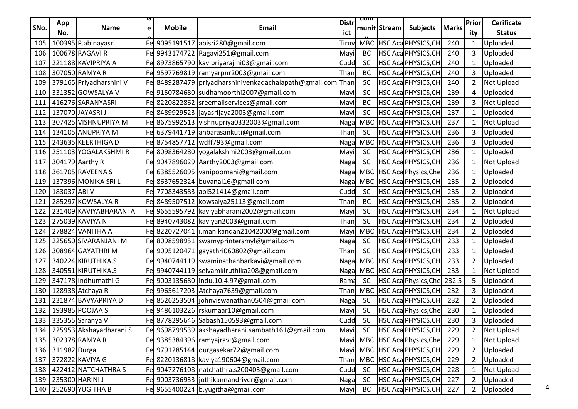|      | App          |                         |   |               |                                                             | <b>Distr</b> | प्णा       |              |                             |              | Prior          | <b>Cerificate</b> |
|------|--------------|-------------------------|---|---------------|-------------------------------------------------------------|--------------|------------|--------------|-----------------------------|--------------|----------------|-------------------|
| SNo. | No.          | <b>Name</b>             | e | <b>Mobile</b> | <b>Email</b>                                                | ict          |            | munit Stream | <b>Subjects</b>             | <b>Marks</b> | ity            | <b>Status</b>     |
| 105  |              | 100395 P.abinayasri     |   |               | Fe 9095191517 abisri280@gmail.com                           | Tiruv        |            |              | MBC HSC Aca PHYSICS, CH     | 240          | $\mathbf{1}$   | Uploaded          |
| 106  |              | 100678 RAGAVI R         |   |               | Fe 9943174722 Ragavi251@gmail.com                           | Mayil        | <b>BC</b>  |              | HSC Aca PHYSICS, CH         | 240          | 3              | Uploaded          |
| 107  |              | 221188 KAVIPRIYA A      |   |               | Fe 8973865790 kavipriyarajini03@gmail.com                   | Cudd         | <b>SC</b>  |              | HSC Aca PHYSICS, CH         | 240          | $\mathbf{1}$   | Uploaded          |
| 108  |              | 307050 RAMYA R          |   |               | Fe 9597769819   ramyarpnr2003@gmail.com                     | Than         | <b>BC</b>  |              | HSC Aca PHYSICS, CH         | 240          | 3              | Uploaded          |
| 109  |              | 379165 Priyadharshini V |   |               | Fe 8489287479 priyadharshinivenkadachalapath@gmail.com Than |              | <b>SC</b>  |              | HSC Aca PHYSICS, CH         | 240          | $\overline{2}$ | <b>Not Upload</b> |
| 110  |              | 331352 GOWSALYA V       |   |               | Fe 9150784680 sudhamoorthi2007@gmail.com                    | Mayil        | <b>SC</b>  |              | HSC Aca PHYSICS, CH         | 239          | 4              | Uploaded          |
| 111  |              | 416276 SARANYASRI       |   |               | Fe 8220822862 sreemailservices@gmail.com                    | Mayil        | <b>BC</b>  |              | HSC Aca PHYSICS, CH         | 239          | 3              | Not Upload        |
| 112  |              | 137070 JAYASRI J        |   |               | Fe 8489929523 Jjayasrijaya2003@gmail.com                    | Mayil        | <b>SC</b>  |              | HSC Aca PHYSICS, CH         | 237          | $\mathbf{1}$   | Uploaded          |
| 113  |              | 307425 VISHNUPRIYA M    |   |               | Fel 8675992513   vishnupriya0332003@gmail.com               | Nagal        | MBC        |              | HSC Aca PHYSICS, CH         | 237          | $\mathbf{1}$   | Not Upload        |
| 114  |              | 134105 ANUPRIYA M       |   |               | Fe 6379441719 anbarasankuti@gmail.com                       | Thanj        | <b>SC</b>  |              | HSC Aca PHYSICS, CH         | 236          | 3              | Uploaded          |
| 115  |              | 243635 KEERTHIGA D      |   |               | Fel 8754857712   wdff793@gmail.com                          | Naga         | <b>MBC</b> |              | HSC Aca PHYSICS, CH         | 236          | 3              | Uploaded          |
| 116  |              | 251103 YOGALAKSHMIR     |   |               | Fe 8098364280 yogalakshmi2003@gmail.com                     | Mayil        | <b>SC</b>  |              | HSC Aca PHYSICS, CH         | 236          | $\mathbf{1}$   | Uploaded          |
| 117  |              | 304179 Aarthy R         |   |               | Fe 9047896029 Aarthy2003@gmail.com                          | Naga         | <b>SC</b>  |              | HSC Aca PHYSICS, CH         | 236          | $\mathbf{1}$   | Not Upload        |
| 118  |              | 361705 RAVEENA S        |   |               | Fe 6385526095 vanipoomani@gmail.com                         | Naga         | <b>MBC</b> |              | <b>HSC Aca Physics, Che</b> | 236          | $\mathbf{1}$   | Uploaded          |
| 119  |              | 137396 MONIKA SRI L     |   |               | Fe 8637652324 buvanal16@gmail.com                           | Nagal        | MBC        |              | HSC Aca PHYSICS, CH         | 235          | $2^{\circ}$    | Uploaded          |
| 120  | 183037 ABI V |                         |   |               | Fe 7708343583 abi521414@gmail.com                           | Cudd         | <b>SC</b>  |              | HSC Aca PHYSICS, CH         | 235          | $2^{\circ}$    | Uploaded          |
| 121  |              | 285297 KOWSALYA R       |   |               | Fe 8489507512 kowsalya25113@gmail.com                       | Than         | <b>BC</b>  |              | HSC Aca PHYSICS, CH         | 235          | $\overline{2}$ | Uploaded          |
| 122  |              | 231409 KAVIYABHARANI A  |   |               | Fe 9655595792 kaviyabharani2002@gmail.com                   | Mayil        | <b>SC</b>  |              | HSC Aca PHYSICS, CH         | 234          | $\mathbf{1}$   | Not Upload        |
| 123  |              | 275039 KAVIYA N         |   |               | Fe 8940743082 kaviyan2003@gmail.com                         | Than         | <b>SC</b>  |              | HSC Aca PHYSICS, CH         | 234          | 2              | Uploaded          |
| 124  |              | 278824 VANITHA A        |   |               | Fe 8220727041   i.manikandan21042000@gmail.com              | Mayil        | MBC        |              | HSC Aca PHYSICS, CH         | 234          | $2^{\circ}$    | Uploaded          |
| 125  |              | 225650 SIVARANJANI M    |   |               | Fel 8098598951  swamyprintersmyl@gmail.com                  | Naga         | <b>SC</b>  |              | HSC Aca PHYSICS, CH         | 233          | $\mathbf{1}$   | Uploaded          |
| 126  |              | 308964 GAYATHRI M       |   |               | Fe 9095120471 gayathri060802@gmail.com                      | Than         | <b>SC</b>  |              | HSC Aca PHYSICS, CH         | 233          | $\mathbf{1}$   | Uploaded          |
| 127  |              | 340224 KIRUTHIKA.S      |   |               | Fel 9940744119   swaminathanbarkavi@gmail.com               | Naga         | <b>MBC</b> |              | HSC Aca PHYSICS, CH         | 233          | $\overline{2}$ | Uploaded          |
| 128  |              | 340551 KIRUTHIKA.S      |   |               | Fe 9940744119 selvamkiruthika208@gmail.com                  | Naga         |            |              | MBC HSC Aca PHYSICS, CH     | 233          | $\mathbf{1}$   | Not Upload        |
| 129  |              | 347178 Indhumathi G     |   |               | Fe 9003135680  indu.10.4.97@gmail.com                       | Rama         | <b>SC</b>  |              | HSC Aca Physics, Che 232.5  |              | 5              | Uploaded          |
| 130  |              | 128938 Atchaya R        |   |               | Fe 9965617203 Atchaya7639@gmail.com                         | Than         | MBC        |              | HSC Aca PHYSICS, CH         | 232          | 3              | Uploaded          |
| 131  |              | 231874 BAVYAPRIYA D     |   |               | Fe 8526253504 johnviswanathan0504@gmail.com                 | Nagal        | <b>SC</b>  |              | HSC Aca PHYSICS, CH         | 232          | $\overline{2}$ | Uploaded          |
| 132  |              | 193985 POOJAA S         |   |               | Fe 9486103226  rskumaar10@gmail.com                         | Mayil        | <b>SC</b>  |              | HSC Aca Physics, Che        | 230          | $\mathbf{1}$   | Uploaded          |
| 133  |              | 335355 Saranya V        |   |               | lFel 8778295646   Sabash150593@gmail.com                    | Cudd         | <b>SC</b>  |              | <b>HSC Aca PHYSICS, CH</b>  | 230          | 3              | Uploaded          |
| 134  |              | 225953 Akshayadharani S |   |               | Fe 9698799539 akshayadharani.sambath161@gmail.com           | Mayil        | <b>SC</b>  |              | HSC Aca PHYSICS, CH         | 229          | $\overline{2}$ | Not Upload        |
| 135  |              | 302378 RAMYA R          |   |               | Fel 9385384396   ramyajravi@gmail.com                       | Mayil        | <b>MBC</b> |              | HSC Aca Physics, Che        | 229          | $\mathbf{1}$   | Not Upload        |
| 136  | 311982 Durga |                         |   |               | Fe 9791285144 durgasekar72@gmail.com                        | Mayil        |            |              | MBC HSC Aca PHYSICS, CH     | 229          | $\overline{2}$ | Uploaded          |
| 137  |              | 372822 KAVIYA G         |   |               | Fe 8220136818 kaviya190604@gmail.com                        | Thanj        |            |              | MBC HSC Aca PHYSICS, CH     | 229          | $2^{\circ}$    | Uploaded          |
| 138  |              | 422412 NATCHATHRA S     |   |               | Fel 9047276108   natchathra.s200403@gmail.com               | Cudd         | <b>SC</b>  |              | HSC Aca PHYSICS, CH         | 228          | $\mathbf{1}$   | Not Upload        |
| 139  |              | 235300 HARINI J         |   |               | Fe 9003736933 jothikannandriver@gmail.com                   | Naga         | <b>SC</b>  |              | HSC Aca PHYSICS, CH         | 227          | $\overline{2}$ | Uploaded          |
| 140  |              | 252690 YUGITHA B        |   |               | Fe 9655400224 b.yugitha@gmail.com                           | Mayil        | BC         |              | HSC Aca PHYSICS, CH         | 227          | $\overline{2}$ | Uploaded          |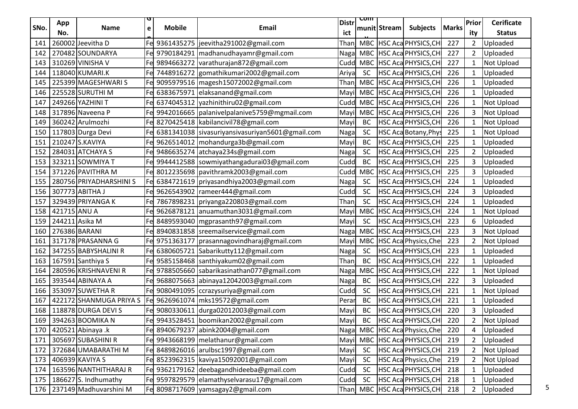|      | App            |                         |   |               |                                                               | <b>Distr</b> | <u>रणाा</u> |              |                              |              | <b>Prior</b>   | <b>Cerificate</b> |
|------|----------------|-------------------------|---|---------------|---------------------------------------------------------------|--------------|-------------|--------------|------------------------------|--------------|----------------|-------------------|
| SNo. | No.            | <b>Name</b>             | e | <b>Mobile</b> | Email                                                         | ict          |             | munit Stream | <b>Subjects</b>              | <b>Marks</b> | ity            | <b>Status</b>     |
| 141  |                | 260002 Jeevitha D       |   |               | Fe 9361435275 jeevitha291002@gmail.com                        | Than         |             |              | MBC HSC Aca PHYSICS, CH      | 227          | $\overline{2}$ | Uploaded          |
| 142  |                | 270482 SOUNDARYA        |   |               | Fe 9790184291   madhanudhayamr@gmail.com                      | Naga         |             |              | MBC HSC Aca PHYSICS, CH      | 227          | $\overline{2}$ | Uploaded          |
| 143  |                | 310269 VINISHA V        |   |               | Fe 9894663272 varathurajan872@gmail.com                       | Cudd         |             |              | MBC HSC Aca PHYSICS, CH      | 227          | $\mathbf{1}$   | Not Upload        |
| 144  |                | 118040 KUMARI.K         |   |               | Fe 7448916272 gomathikumari2002@gmail.com                     | Ariya        | <b>SC</b>   |              | HSC Aca PHYSICS, CH          | 226          | $\mathbf{1}$   | Uploaded          |
| 145  |                | 225399 MAGESHWARIS      |   |               | Fe 9095979516   magesh15072002@gmail.com                      | Than         | MBC         |              | HSC Aca PHYSICS, CH          | 226          | $\mathbf{1}$   | Uploaded          |
| 146  |                | 225528 SURUTHI M        |   |               | Fe 6383675971 elaksanand@gmail.com                            | Mayil        |             |              | MBC HSC Aca PHYSICS, CH      | 226          | $\mathbf{1}$   | Uploaded          |
| 147  |                | 249266 YAZHINI T        |   |               | Fe 6374045312 yazhinithiru02@gmail.com                        | Cudd         |             |              | MBC HSC AcaPHYSICS, CH       | 226          | $\mathbf{1}$   | Not Upload        |
| 148  |                | 317896 Naveena P        |   |               | Fel 9942016665   palanivel palanive 5759@mgmail.com           | Mayil        |             |              | MBC HSC Aca PHYSICS, CH      | 226          | 3              | Not Upload        |
| 149  |                | 360242 Arulmozhi        |   |               | Fe 8270425418 kabilancivil78@gmail.com                        | Mayi         | <b>BC</b>   |              | HSC Aca PHYSICS, CH          | 226          | $\mathbf{1}$   | Not Upload        |
| 150  |                | 117803 Durga Devi       |   |               | Fe 6381341038 sivasuriyansivasuriyan5601@gmail.com            | Naga         | <b>SC</b>   |              | HSC Aca Botany, Phys         | 225          | $\mathbf{1}$   | <b>Not Upload</b> |
| 151  |                | 210247 S.KAVIYA         |   |               | Fe 9626514012   mohandurga3b@gmail.com                        | Mayi         | <b>BC</b>   |              | HSC Aca PHYSICS, CH          | 225          | $\mathbf{1}$   | Uploaded          |
| 152  |                | 284031 ATCHAYA S        |   |               | Fe 9486635274 atchaya234s@gmail.com                           | Naga         | <b>SC</b>   |              | <b>HSC Aca PHYSICS, CH</b>   | 225          | $\overline{2}$ | Uploaded          |
| 153  |                | 323211 SOWMIYA T        |   |               | Fel 9944412588  sowmiyathangadurai03@gmail.com                | Cudd         | BC          |              | HSC Aca PHYSICS, CH          | 225          | 3              | Uploaded          |
| 154  |                | 371226 PAVITHRA M       |   |               | Fe 8012235698   pavithramk2003@gmail.com                      | Cudd         | <b>MBC</b>  |              | <b>HSC Aca PHYSICS, CH</b>   | 225          | 3              | Uploaded          |
| 155  |                | 280756 PRIYADHARSHINI S |   |               | Fe 6384721619 priyasandhiya2003@gmail.com                     | Naga         | <b>SC</b>   |              | HSC Aca PHYSICS, CH          | 224          | $\mathbf{1}$   | Uploaded          |
| 156  |                | 307773 ABITHA J         |   |               | Fe 9626543902   rameer444@gmail.com                           | Cudd         | <b>SC</b>   |              | HSC Aca PHYSICS, CH          | 224          | 3              | Uploaded          |
| 157  |                | 329439 PRIYANGA K       |   |               | 7867898231 priyanga220803@gmail.com                           | Than         | <b>SC</b>   |              | HSC Aca PHYSICS, CH          | 224          | $\mathbf{1}$   | Uploaded          |
| 158  | 421715 ANU A   |                         |   |               | Fe 9626878121 anuamuthan3031@gmail.com                        | Mayil        | <b>MBC</b>  |              | HSC Aca PHYSICS, CH          | 224          | $\mathbf{1}$   | Not Upload        |
| 159  | 244211 Asika M |                         |   |               | Fe 8489593040   mgprasanth97@gmail.com                        | Mayil        | <b>SC</b>   |              | HSC Aca PHYSICS, CH          | 223          | 6              | Uploaded          |
| 160  | 276386 BARANI  |                         |   |               | Fe 8940831858 sreemailservice@gmail.com                       | Naga         | MBC         |              | HSC Aca PHYSICS, CH          | 223          | 3              | Not Upload        |
| 161  |                | 317178 PRASANNA G       |   |               | Fe 9751363177   prasannagovindharaj@gmail.com                 | Mayil        | <b>MBC</b>  |              | <b>HSC Aca Physics, Che</b>  | 223          | $\overline{2}$ | Not Upload        |
| 162  |                | 347255 BABYSHALINI R    |   |               | Fe 6380605721 Sabarikutty112@gmail.com                        | Naga         | <b>SC</b>   |              | HSC Aca PHYSICS, CH          | 223          | $\mathbf{1}$   | Uploaded          |
| 163  |                | 167591 Santhiya S       |   |               | Fe 9585158468 santhiyakum02@gmail.com                         | Than         | <b>BC</b>   |              | HSC Aca PHYSICS, CH          | 222          | $\mathbf{1}$   | Uploaded          |
| 164  |                | 280596 KRISHNAVENI R    |   |               | Fe 9788505660 sabarikasinathan077@gmail.com                   | Naga         | <b>MBC</b>  |              | HSC Aca PHYSICS, CH          | 222          | $\mathbf{1}$   | Not Upload        |
| 165  |                | 393544 ABINAYA A        |   |               | Fe 9688075663 abinaya12042003@gmail.com                       | Naga         | BC          |              | HSC Aca PHYSICS, CH          | 222          | 3              | Uploaded          |
| 166  |                | 353097 SUWETHA R        |   |               | Fel 9080491095 ccrazysuriya@gmail.com                         | Cudd         | <b>SC</b>   |              | HSC Aca PHYSICS, CH          | 221          | $\mathbf{1}$   | Not Upload        |
| 167  |                |                         |   |               | 422172 SHANMUGA PRIYA S   Fe  9626961074   mks19572@gmail.com | Perar        | BC          |              | HSC Aca PHYSICS, CH          | 221          | $\mathbf{1}$   | Uploaded          |
| 168  |                | 118878 DURGA DEVI S     |   |               | Fe 9080330611 durga02012003@gmail.com                         | Mayi         | <b>BC</b>   |              | HSC Aca PHYSICS, CH          | 220          | 3              | Uploaded          |
| 169  |                | 394263 BOOMIKA N        |   |               | Fel 9943528451 boomikan2002@gmail.com                         | Mayil        | <b>BC</b>   |              | HSC Aca PHYSICS, CH          | 220          | $\overline{2}$ | Not Upload        |
| 170  |                | 420521 Abinaya .k       |   |               | Fe 8940679237 abink2004@gmail.com                             | Nagal        | <b>MBC</b>  |              | HSC Aca Physics, Che         | 220          | 4              | Uploaded          |
| 171  |                | 305697 SUBASHINI R      |   |               | Fe 9943668199 melathanur@gmail.com                            | Mayil        | <b>MBC</b>  |              | HSC Aca PHYSICS, CH          | 219          | $\overline{2}$ | Uploaded          |
| 172  |                | 372684 UMABARATHI M     |   |               | Fe 8489826016 arulbsc1997@gmail.com                           | Mayil        | <b>SC</b>   |              | HSC Aca PHYSICS, CH          | 219          | $\overline{2}$ | Not Upload        |
| 173  |                | 406939 KAVIYA S         |   |               | Fe 8523962315   kaviya15092001@gmail.com                      | Mayi         | <b>SC</b>   |              | HSC Aca Physics, Che         | 219          | $\overline{2}$ | Not Upload        |
| 174  |                | 163596 NANTHITHARAJ R   |   |               | Fe 9362179162 deebagandhideeba@gmail.com                      | Cudd         | <b>SC</b>   |              | HSC Aca PHYSICS, CH          | 218          | $\mathbf{1}$   | Uploaded          |
| 175  |                | 186627 S. Indhumathy    |   |               | Fe 9597829579 elamathyselvarasu17@gmail.com                   | Cudd         | <b>SC</b>   |              | HSC Aca PHYSICS, CH          | 218          | $\mathbf{1}$   | Uploaded          |
| 176  |                | 237149 Madhuvarshini M  |   |               | Fe 8098717609 yamsagay2@gmail.com                             |              |             |              | Than MBC HSC Aca PHYSICS, CH | 218          | $2^{\circ}$    | Uploaded          |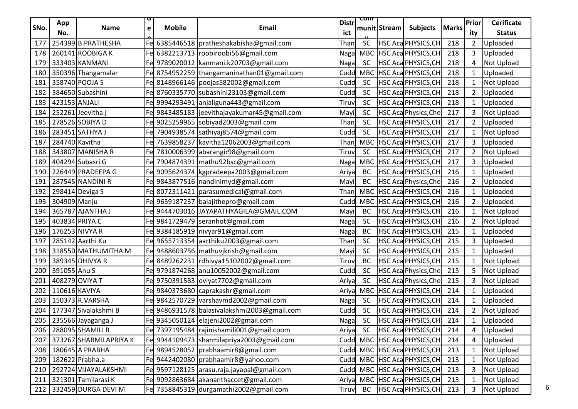|      | App            |                        |   |               |                                               | <b>Distr</b> | <u>रणाा</u> |              |                             |              | Prior          | <b>Cerificate</b> |
|------|----------------|------------------------|---|---------------|-----------------------------------------------|--------------|-------------|--------------|-----------------------------|--------------|----------------|-------------------|
| SNo. | No.            | <b>Name</b>            | e | <b>Mobile</b> | <b>Email</b>                                  | ict          |             | munit Stream | <b>Subjects</b>             | <b>Marks</b> | ity            | <b>Status</b>     |
| 177  |                | 254399 B.PRATHESHA     |   |               | Fe 6385446518 pratheshakabisha@gmail.com      | Thanj        | <b>SC</b>   |              | HSC Aca PHYSICS, CH         | 218          | $\overline{2}$ | Uploaded          |
| 178  |                | 260141 ROOBIGA K       |   |               | Fe 6382213713 roobiroobi56@gmail.com          | Naga         |             |              | MBC HSC Aca PHYSICS, CH     | 218          | 3              | Uploaded          |
| 179  |                | 333403 KANMANI         |   |               | Fe 9789020012 kanmani.k20703@gmail.com        | Naga         | <b>SC</b>   |              | HSC Aca PHYSICS, CH         | 218          | 4              | Not Upload        |
| 180  |                | 350396 Thangamalar     |   |               | Fe 8754952259 thangamaninathan01@gmail.com    | Cudd         | <b>MBC</b>  |              | HSC Aca PHYSICS, CH         | 218          | $\mathbf{1}$   | Uploaded          |
| 181  |                | 358740 POOJA S         |   |               | Fe 8148966146   poojas582002@gmail.com        | Cudd         | <b>SC</b>   |              | HSC Aca PHYSICS, CH         | 218          | 1              | Not Upload        |
| 182  |                | 384650 Subashini       |   |               | Fe 8760335770 subashini23103@gmail.com        | Cudd         | <b>SC</b>   |              | HSC Aca PHYSICS, CH         | 218          | $\overline{2}$ | Uploaded          |
| 183  | 423153 ANJALi  |                        |   |               | Fe 9994293491 anjaliguna443@gmail.com         | Tiruv        | <b>SC</b>   |              | HSC Aca PHYSICS, CH         | 218          | $\mathbf{1}$   | Uploaded          |
| 184  |                | 252261 Jeevitha.j      |   |               | Fe 9843485183 jeevithajayakumar45@gmail.com   | Mayi         | <b>SC</b>   |              | HSC Aca Physics, Che        | 217          | 3              | Not Upload        |
| 185  |                | 278526 SOBIYA D        |   |               | Fel 9025259965  sobiyad2003@gmail.com         | Than         | <b>SC</b>   |              | HSC Aca PHYSICS, CH         | 217          | $\mathbf{2}$   | Uploaded          |
| 186  |                | 283451 SATHYA J        |   |               | Fe 7904938574 sathiyaj8574@gmail.com          | Cudd         | <b>SC</b>   |              | HSC Aca PHYSICS, CH         | 217          | $\mathbf{1}$   | Not Upload        |
| 187  | 284740 Kavitha |                        |   |               | Fe 7639858237 kavitha12062003@gmail.com       | Than         | <b>MBC</b>  |              | HSC Aca PHYSICS, CH         | 217          | 3              | Uploaded          |
| 188  |                | 343807 MANISHA R       |   |               | Fe 7810006399 abarangir98@gmail.com           | Tiruv        | <b>SC</b>   |              | <b>HSC Aca PHYSICS, CH</b>  | 217          | $\overline{2}$ | Not Upload        |
| 189  |                | 404294 Subasri G       |   |               | Fe 7904874391   mathu92bsc@gmail.com          | Naga         | <b>MBC</b>  |              | HSC Aca PHYSICS, CH         | 217          | 3              | Uploaded          |
| 190  |                | 226449 PRADEEPA G      |   |               | Fe 9095624374 kgpradeepa2003@gmail.com        | Ariyal       | BC          |              | HSC Aca PHYSICS, CH         | 216          | $\mathbf{1}$   | Uploaded          |
| 191  |                | 287545 NANDINI R       |   |               | Fe 9843877516   nandinimyd@gmail.com          | Mayil        | <b>BC</b>   |              | <b>HSC Aca Physics, Che</b> | 216          | $\overline{2}$ | Uploaded          |
| 192  |                | 298414 Deviga S        |   |               | Fe 8072311421   parasumedical@gmail.com       | Than         | MBC         |              | HSC Aca PHYSICS, CH         | 216          | $\mathbf{1}$   | Uploaded          |
| 193  | 304909 Manju   |                        |   |               | Fe 9659187237 balajithepro@gmail.com          | Cudd         | <b>MBC</b>  |              | <b>HSC Aca PHYSICS, CH</b>  | 216          | $\overline{2}$ | Uploaded          |
| 194  |                | 365787 AJANTHA J       |   |               | Fe 9444703016 JAYAPATHYAGILA@GMAIL.COM        | Mayi         | <b>BC</b>   |              | HSC Aca PHYSICS, CH         | 216          | $\mathbf{1}$   | Not Upload        |
| 195  | 403834 PRIYA C |                        |   |               | Fe 9841729479 seranhot@gmail.com              | Naga         | <b>SC</b>   |              | HSC Aca PHYSICS, CH         | 216          | $\overline{2}$ | Not Upload        |
| 196  |                | 176253 NIVYA R         |   |               | Fe 9384185919 nivyar91@gmail.com              | Naga         | BC          |              | HSC Aca PHYSICS, CH         | 215          | $\mathbf{1}$   | Uploaded          |
| 197  |                | 285142 Aarthi Ku       |   |               | Fel 9655713354 aarthiku2003@gmail.com         | Than         | <b>SC</b>   |              | HSC Aca PHYSICS, CH         | 215          | 3              | Uploaded          |
| 198  |                | 318550 MATHUMITHA M    |   |               | Fe 9488603756   mathuvjkrish@gmail.com        | Mayi         | <b>SC</b>   |              | HSC Aca PHYSICS, CH         | 215          | $\mathbf{1}$   | Uploaded          |
| 199  |                | 389345 DHIVYA R        |   |               | Fe 8489262231   rdhivya15102002@gmail.com     | Tiruv        | <b>BC</b>   |              | HSC Aca PHYSICS, CH         | 215          | $\mathbf{1}$   | Not Upload        |
| 200  | 391055 Anu S   |                        |   |               | Fel 9791874268   anu10052002@gmail.com        | Cudd         | <b>SC</b>   |              | <b>HSC Aca Physics, Che</b> | 215          | 5              | Not Upload        |
| 201  | 408279 OVIYA T |                        |   |               | Fe 9750391583 oviyat7702@gmail.com            | Ariya        | <b>SC</b>   |              | HSC Aca Physics, Che        | 215          | 3              | <b>Not Upload</b> |
| 202  | 110616 KAVIYA  |                        |   |               | Fe 9840373680 caprakashr@gmail.com            | Ariya        | <b>MBC</b>  |              | HSC Aca PHYSICS, CH         | 214          | $\mathbf{1}$   | Uploaded          |
| 203  |                | 150373 R.VARSHA        |   |               | Fe 9842570729 varshavmd2002@gmail.com         | Naga         | <b>SC</b>   |              | HSC Aca PHYSICS, CH         | 214          | $\mathbf{1}$   | Uploaded          |
| 204  |                | 177347 Sivalakshmi B   |   |               | Fe 9486931578   balasivalakshmi2003@gmail.com | Cudd         | <b>SC</b>   |              | HSC Aca PHYSICS, CH         | 214          | $\overline{2}$ | Not Upload        |
| 205  |                | 235566 Jayaganga J     |   |               | Fe 9345050124 elajeni2002@gmail.com           | <b>Nagal</b> | <b>SC</b>   |              | <b>HSC Aca PHYSICS, CH</b>  | 214          | $\mathbf{1}$   | Uploaded          |
| 206  |                | 288095 SHAMILI R       |   |               | Fe 7397195484   rajinishamili001@gmail.coom   | Ariya        | <b>SC</b>   |              | HSC Aca PHYSICS, CH         | 214          | 4              | Uploaded          |
| 207  |                | 373267 SHARMILAPRIYA K |   |               | Fe 9944109473 sharmilapriya2003@gmail.com     | Cudd         | <b>MBC</b>  |              | HSC Aca PHYSICS, CH         | 214          | 4              | Uploaded          |
| 208  |                | 180645 A PRABHA        |   |               | 9894528052   prabhaamir8@gmail.com            | Cudd         |             |              | MBC HSC Aca PHYSICS, CH     | 213          | $\mathbf{1}$   | Not Upload        |
| 209  |                | 182622 Prabha.a        |   |               | Fe 9442402080   prabhaamir8@yahoo.com         | Cudd         |             |              | MBC HSC Aca PHYSICS, CH     | 213          | $\mathbf{1}$   | Not Upload        |
| 210  |                | 292724 VIJAYALAKSHMI   |   |               | Fe 9597128125 arasu.raja.jayapal@gmail.com    | Cudd         |             |              | MBC   HSC Aca PHYSICS, CH   | 213          | 3              | Not Upload        |
| 211  |                | 321301 Tamilarasi K    |   |               | Fe 9092863684 akananthaccet@gmail.com         | Ariya        |             |              | MBC   HSC Aca PHYSICS, CH   | 213          | 1              | Not Upload        |
| 212  |                | 332459 DURGA DEVI M    |   |               | Fel 7358845319 durgamathi2002@gmail.com       | <b>Tiruv</b> | BC          |              | HSC Aca PHYSICS, CH         | 213          | 3              | <b>Not Upload</b> |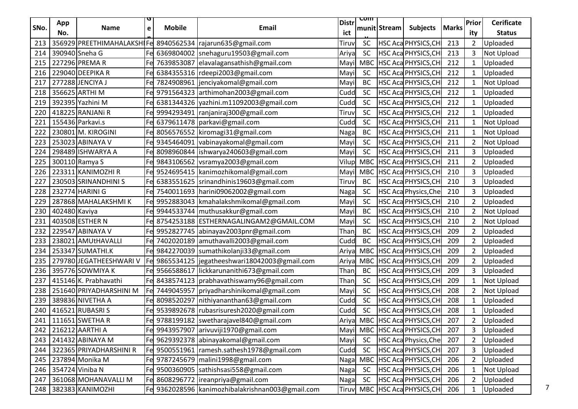|      | App           |                         |   |               |                                                              | <b>Distr</b> | <u>रणाा</u> |              |                               |              | Prior          | <b>Cerificate</b> |
|------|---------------|-------------------------|---|---------------|--------------------------------------------------------------|--------------|-------------|--------------|-------------------------------|--------------|----------------|-------------------|
| SNo. | No.           | <b>Name</b>             | e | <b>Mobile</b> | <b>Email</b>                                                 | ict          |             | munit Stream | <b>Subjects</b>               | <b>Marks</b> | ity            | <b>Status</b>     |
| 213  |               |                         |   |               | 356929 PREETHIMAHALAKSHIFe 8940562534   rajarun635@gmail.com | Tiruv        | <b>SC</b>   |              | HSC Aca PHYSICS, CH           | 213          | $\overline{2}$ | Uploaded          |
| 214  |               | 390940 Sneha G          |   |               | Fel 6369804002  snehaguru19503@gmail.com                     | Ariya        | <b>SC</b>   |              | HSC Aca PHYSICS, CH           | 213          | 3              | Not Upload        |
| 215  |               | 227296 PREMAR           |   |               | Fe 7639853087 elavalagansathish@gmail.com                    | Mayil        | <b>MBC</b>  |              | HSC Aca PHYSICS, CH           | 212          | $\mathbf{1}$   | Uploaded          |
| 216  |               | 229040 DEEPIKA R        |   |               | Fe 6384355316 rdeepi2003@gmail.com                           | Mayil        | <b>SC</b>   |              | HSC Aca PHYSICS, CH           | 212          | $\mathbf{1}$   | Uploaded          |
| 217  |               | 277288 JENCIYA J        |   |               | Fe 7824908961 jenciyakomal@gmail.com                         | Mayil        | <b>BC</b>   |              | HSC Aca PHYSICS, CH           | 212          | 1              | <b>Not Upload</b> |
| 218  |               | 356625 ARTHI M          |   |               | Fe 9791564323 arthimohan2003@gmail.com                       | Cudd         | <b>SC</b>   |              | HSC Aca PHYSICS, CH           | 212          | $\mathbf{1}$   | Uploaded          |
| 219  |               | 392395 Yazhini M        |   |               | Fe 6381344326 yazhini.m11092003@gmail.com                    | Cudd         | <b>SC</b>   |              | HSC Aca PHYSICS, CH           | 212          | $\mathbf{1}$   | Uploaded          |
| 220  |               | 418225 RANJANi R        |   |               | Fe 9994293491 ranjaniraj300@gmail.com                        | Tiruv        | <b>SC</b>   |              | HSC Aca PHYSICS, CH           | 212          | $\mathbf{1}$   | Uploaded          |
| 221  |               | 155436 Parkavi.s        |   |               | Fe 6379611478   parkavi@gmail.com                            | Cudd         | <b>SC</b>   |              | HSC Aca PHYSICS, CH           | 211          | $\mathbf{1}$   | Not Upload        |
| 222  |               | 230801 M. KIROGINI      |   |               | Fe 8056576552 kiromagi31@gmail.com                           | Naga         | <b>BC</b>   |              | HSC Aca PHYSICS, CH           | 211          | 1              | <b>Not Upload</b> |
| 223  |               | 253023 ABINAYA V        |   |               | Fe 9345464091 vabinayakomal@gmail.com                        | Mayil        | <b>SC</b>   |              | HSC Aca PHYSICS, CH           | 211          | $\overline{2}$ | Not Upload        |
| 224  |               | 298489 ISHWARYA A       |   |               | Fe 8098960844   ishwarya 240603@gmail.com                    | Mayil        | <b>SC</b>   |              | HSC Aca PHYSICS, CH           | 211          | 3              | Uploaded          |
| 225  |               | 300110 Ramya S          |   |               | Fe 9843106562 vsramya2003@gmail.com                          | Vilup        |             |              | MBC HSC Aca PHYSICS, CH       | 211          | $2^{\circ}$    | Uploaded          |
| 226  |               | 223311 KANIMOZHI R      |   |               | Fel 9524695415 kanimozhikomal@gmail.com                      | Mayil        | <b>MBC</b>  |              | <b>HSC Aca PHYSICS, CH</b>    | 210          | 3              | Uploaded          |
| 227  |               | 230503 SRINANDHINI S    |   |               | 6383551625 srinandhinis19603@gmail.com                       | Tiruv        | <b>BC</b>   |              | HSC Aca PHYSICS, CH           | 210          | 3              | Uploaded          |
| 228  |               | 232774 HARINI G         |   |               | Fe 7540011693 harini09062002@gmail.com                       | Naga         | <b>SC</b>   |              | <b>HSC Aca Physics, Che</b>   | 210          | 3              | Uploaded          |
| 229  |               | 287868 MAHALAKSHMIK     |   |               | 9952883043   kmahalakshmikomal@gmail.com                     | Mayil        | <b>SC</b>   |              | HSC Aca PHYSICS, CH           | 210          | $\overline{2}$ | Uploaded          |
| 230  | 402480 Kaviya |                         |   |               | Fe 9944533744   muthusakkur@gmail.com                        | Mayil        | <b>BC</b>   |              | HSC Aca PHYSICS, CH           | 210          | $\overline{2}$ | Not Upload        |
| 231  |               | 403508 ESTHER N         |   |               | Fe 8754253188 ESTHERNAGALINGAM2@GMAIL.COM                    | Mayil        | <b>SC</b>   |              | HSC Aca PHYSICS, CH           | 210          | $\overline{2}$ | Not Upload        |
| 232  |               | 229547 ABINAYA V        |   |               | Fe 9952827745 abinayav2003pnr@gmail.com                      | Than         | <b>BC</b>   |              | HSC Aca PHYSICS, CH           | 209          | $\overline{2}$ | Uploaded          |
| 233  |               | 238021 AMUtHAVALLI      |   |               | Fe 7402020189 amuthavalli2003@gmail.com                      | Cudd         | <b>BC</b>   |              | HSC Aca PHYSICS, CH           | 209          | $\overline{2}$ | Uploaded          |
| 234  |               | 253347 SUMATHI.K        |   |               | Fe 9842270039 sumathikolanji33@gmail.com                     | Ariya        | MBC         |              | <b>HSC Aca PHYSICS, CH</b>    | 209          | $2^{\circ}$    | Uploaded          |
| 235  |               | 279780 JEGATHEESHWARI V |   |               | Fe 9865534125 jegatheeshwari18042003@gmail.com               | Ariya        | <b>MBC</b>  |              | HSC Aca PHYSICS, CH           | 209          | $\overline{2}$ | Uploaded          |
| 236  |               | 395776 SOWMIYA K        |   |               | Fe 9566588617 lickkarunanithi673@gmail.com                   | Than         | <b>BC</b>   |              | HSC Aca PHYSICS, CH           | 209          | 3              | Uploaded          |
| 237  |               | 415146 K. Prabhavathi   |   |               | Fe 8438574123   prabhavathiswamy96@gmail.com                 | Than         | <b>SC</b>   |              | HSC Aca PHYSICS, CH           | 209          | $\mathbf{1}$   | <b>Not Upload</b> |
| 238  |               | 251640 PRIYADHARSHINI M |   |               | Fe 7449045957 priyadharshinikomal@gmail.com                  | Mayil        | <b>SC</b>   |              | HSC Aca PHYSICS, CH           | 208          | $2^{\circ}$    | Not Upload        |
| 239  |               | 389836 NIVETHA A        |   |               | Fe 8098520297 nithiyananthan63@gmail.com                     | Cudd         | <b>SC</b>   |              | HSC Aca PHYSICS, CH           | 208          | $\mathbf{1}$   | Uploaded          |
| 240  |               | 416521 RUBASRI S        |   |               | Fe 9539892678 rubasrisuresh2020@gmail.com                    | Cudd         | <b>SC</b>   |              | HSC Aca PHYSICS, CH           | 208          | $\mathbf{1}$   | Uploaded          |
| 241  |               | 111651 SWETHA R         |   |               | Fel 9788199182  swetharajavel840@gmail.com                   | Ariya        |             |              | MBC HSC Aca PHYSICS, CH       | 207          | $\overline{2}$ | Uploaded          |
| 242  |               | 216212 AARTHI A         |   |               | Fe 9943957907 arivuviji1970@gmail.com                        | Mayil        | <b>MBC</b>  |              | HSC Aca PHYSICS, CH           | 207          | 3              | Uploaded          |
| 243  |               | 241432 ABINAYA M        |   |               | Fe 9629392378 abinayakomal@gmail.com                         | Mayil        | <b>SC</b>   |              | HSC Aca Physics, Che          | 207          | $\overline{2}$ | Uploaded          |
| 244  |               | 322365 PRIYADHARSHINI R |   | Fe 9500551961 | ramesh.sathesh1978@gmail.com                                 | Cudd         | <b>SC</b>   |              | HSC Aca PHYSICS, CH           | 207          | 3              | Uploaded          |
| 245  |               | 237894 Monika M         |   |               | Fe 9787245679 malini1998@gmail.com                           | Naga         | MBC         |              | HSC Aca PHYSICS, CH           | 206          | $\overline{2}$ | Uploaded          |
| 246  |               | 354724 Viniba N         |   |               | Fe 9500360905 sathishsasi558@gmail.com                       | Naga         | <b>SC</b>   |              | HSC Aca PHYSICS, CH           | 206          | $\mathbf{1}$   | Not Upload        |
| 247  |               | 361068 MOHANAVALLI M    |   |               | Fe 8608296772   ireanpriya@gmail.com                         | Naga         | <b>SC</b>   |              | HSC Aca PHYSICS, CH           | 206          | 2              | Uploaded          |
| 248  |               | 382383 KANIMOZHI        |   |               | Fe 9362028596 kanimozhibalakrishnan003@gmail.com             |              |             |              | Tiruv MBC HSC Aca PHYSICS, CH | 206          | $\mathbf{1}$   | Uploaded          |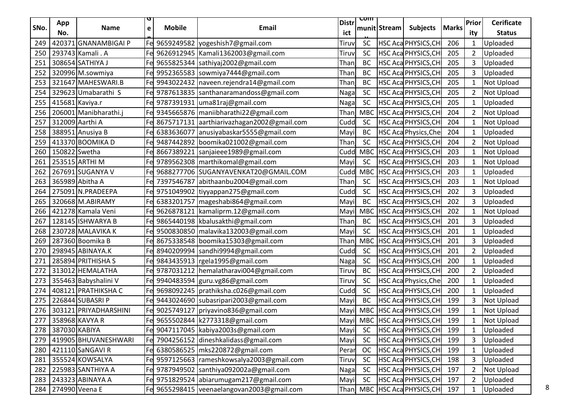|      | App             |                       |   |               |                                               | <b>Distr</b> | <u>रणाा</u> |              |                               |              | Prior          | <b>Cerificate</b> |
|------|-----------------|-----------------------|---|---------------|-----------------------------------------------|--------------|-------------|--------------|-------------------------------|--------------|----------------|-------------------|
| SNo. | No.             | <b>Name</b>           | e | <b>Mobile</b> | Email                                         | ict          |             | munit Stream | <b>Subjects</b>               | <b>Marks</b> | ity            | <b>Status</b>     |
| 249  |                 | 420371 GNANAMBIGAI P  |   |               | Fel 9659249582   yogeshish7@gmail.com         | Tiruv        | <b>SC</b>   |              | HSC Aca PHYSICS, CH           | 206          | $\mathbf{1}$   | Uploaded          |
| 250  |                 | 293743 Kamali . A     |   |               | Fe 9626912945 Kamali1362003@gmail.com         | Tiruv        | <b>SC</b>   |              | <b>HSC Aca PHYSICS, CH</b>    | 205          | $\overline{2}$ | Uploaded          |
| 251  |                 | 308654 SATHIYA J      |   |               | Fe 9655825344 sathiyaj2002@gmail.com          | Than         | <b>BC</b>   |              | HSC Aca PHYSICS, CH           | 205          | 3              | Uploaded          |
| 252  |                 | 320996 M.sowmiya      |   |               | Fe 9952365583 sowmiya7444@gmail.com           | Than         | <b>BC</b>   |              | HSC Aca PHYSICS, CH           | 205          | 3              | Uploaded          |
| 253  |                 | 321647 MAHESWARI.B    |   |               | Fe 9943022432   naveen.rejendra14@gmail.com   | Than         | BC          |              | HSC Aca PHYSICS, CH           | 205          | $\mathbf{1}$   | <b>Not Upload</b> |
| 254  |                 | 329623 Umabarathi S   |   |               | Fel 9787613835  santhanaramandoss@gmail.com   | Nagal        | <b>SC</b>   |              | HSC Aca PHYSICS, CH           | 205          | $\overline{2}$ | Not Upload        |
| 255  | 415681 Kaviya.r |                       |   |               | Fe 9787391931 uma81raj@gmail.com              | Naga         | <b>SC</b>   |              | HSC Aca PHYSICS, CH           | 205          | $\mathbf{1}$   | Uploaded          |
| 256  |                 | 206001 Manibharathi.j |   |               | Fe 9345665876   maniibharathi 22@gmail.com    | Than         | MBC         |              | HSC Aca PHYSICS, CH           | 204          | $2^{\circ}$    | Not Upload        |
| 257  |                 | 312009 Aarthi A       |   |               | Fe 8675717131 aarthiarivazhagan2002@gmail.com | Cudd         | <b>SC</b>   |              | HSC Aca PHYSICS, CH           | 204          | $\mathbf{1}$   | Not Upload        |
| 258  |                 | 388951 Anusiya B      |   |               | Fe 6383636077 anusiyabaskar5555@gmail.com     | Mayi         | BC          |              | <b>HSC Aca Physics, Che</b>   | 204          | $\mathbf{1}$   | Uploaded          |
| 259  |                 | 413370 BOOMIKA D      |   |               | Fe 9487442892 boomika021002@gmail.com         | Than         | <b>SC</b>   |              | HSC Aca PHYSICS, CH           | 204          | $\overline{2}$ | Not Upload        |
| 260  | 150822 Swetha   |                       |   |               | Fe 8667389221 sanjaieee1989@gmail.com         | Cudd         | <b>MBC</b>  |              | <b>HSC Aca PHYSICS, CH</b>    | 203          | $\mathbf{1}$   | Not Upload        |
| 261  |                 | 253515 ARTHI M        |   |               | Fe 9789562308   marthikomal@gmail.com         | Mayi         | <b>SC</b>   |              | HSC Aca PHYSICS, CH           | 203          | $\mathbf{1}$   | Not Upload        |
| 262  |                 | 267691 SUGANYA V      |   |               | Fe 9688277706 SUGANYAVENKAT20@GMAIL.COM       | Cudd         | <b>MBC</b>  |              | <b>HSC Aca PHYSICS, CH</b>    | 203          | $\mathbf{1}$   | Uploaded          |
| 263  |                 | 365989 Abitha A       |   |               | Fe 7397546787 abithaanbu2004@gmail.com        | Than         | <b>SC</b>   |              | HSC Aca PHYSICS, CH           | 203          | $\mathbf{1}$   | Not Upload        |
| 264  |                 | 275091 N.PRADEEPA     |   |               | Fel 9751049902  tiyyappan275@gmail.com        | Cudd         | <b>SC</b>   |              | HSC Aca PHYSICS, CH           | 202          | 3              | Uploaded          |
| 265  |                 | 320668 M.ABIRAMY      |   |               | Fe 6383201757   mageshabi864@gmail.com        | Mayi         | BC          |              | HSC Aca PHYSICS, CH           | 202          | 3              | Uploaded          |
| 266  |                 | 421278 Kamala Veni    |   |               | Fe 9626878121 kamaliprm.12@gmail.com          | Mayil        | <b>MBC</b>  |              | HSC Aca PHYSICS, CH           | 202          | $\mathbf{1}$   | Not Upload        |
| 267  |                 | 128145 ISHWARYA B     |   |               | Fe 9865440198 kbalusakthi@gmail.com           | Than         | BC          |              | HSC Aca PHYSICS, CH           | 201          | 3              | Uploaded          |
| 268  |                 | 230728 MALAVIKA K     |   |               | Fe 9500830850   malavika132003@gmail.com      | Mayil        | <b>SC</b>   |              | HSC Aca PHYSICS, CH           | 201          | $\mathbf{1}$   | Uploaded          |
| 269  |                 | 287360 Boomika B      |   |               | Fe 8675338548 boomika15303@gmail.com          | Than         | <b>MBC</b>  |              | HSC Aca PHYSICS, CH           | 201          | 3              | Uploaded          |
| 270  |                 | 298945 ABINAYA.K      |   |               | 8940209994   sandhi9994@gmail.com             | Cudd         | <b>SC</b>   |              | HSC Aca PHYSICS, CH           | 201          | $\overline{2}$ | Uploaded          |
| 271  |                 | 285894 PRITHISHA S    |   |               | Fe 9843435913 rgela1995@gmail.com             | Naga         | <b>SC</b>   |              | HSC Aca PHYSICS, CH           | 200          | $\mathbf{1}$   | Uploaded          |
| 272  |                 | 313012 HEMALATHA      |   |               | Fe 9787031212 hemalatharavi004@gmail.com      | Tiruv        | BC          |              | HSC Aca PHYSICS, CH           | 200          | $\overline{2}$ | Uploaded          |
| 273  |                 | 355463 Babyshalini V  |   |               | Fe 9940483594 guru.vg86@gmail.com             | Tiruv        | <b>SC</b>   |              | HSC Aca Physics, Che          | 200          | $\mathbf{1}$   | Uploaded          |
| 274  |                 | 408121 PRATHIKSHA C   |   |               | Fe 9698092245   prathiksha.c026@gmail.com     | Cudd         | <b>SC</b>   |              | HSC Aca PHYSICS, CH           | 200          | $\mathbf{1}$   | Uploaded          |
| 275  |                 | 226844 SUBASRI P      |   |               | Fe 9443024690 subasripari2003@gmail.com       | Mayi         | BC          |              | HSC Aca PHYSICS, CH           | 199          | 3              | Not Upload        |
| 276  |                 | 303121 PRIYADHARSHINI |   |               | Fe 9025749127 priyavino836@gmail.com          | Mayil        |             |              | MBC HSC Aca PHYSICS, CH       | 199          | $\mathbf{1}$   | Not Upload        |
| 277  |                 | 358968 KAVYA R        |   |               | Fe 9655502844 k2773318@gmail.com              |              |             |              | Mayil MBC HSC Aca PHYSICS, CH | 199          | $\mathbf{1}$   | <b>Not Upload</b> |
| 278  | 387030 KABIYA   |                       |   |               | Fe 9047117045 kabiya2003s@gmail.com           | Mayil        | <b>SC</b>   |              | HSC Aca PHYSICS, CH           | 199          | $\mathbf{1}$   | Uploaded          |
| 279  |                 | 419905 BHUVANESHWARI  |   |               | Fe 7904256152 dineshkalidass@gmail.com        | Mayil        | <b>SC</b>   |              | HSC Aca PHYSICS, CH           | 199          | 3              | Uploaded          |
| 280  |                 | 421110 SaNGAVI R      |   |               | 6380586525 mks220872@gmail.com                | Perar        | <b>OC</b>   |              | HSC Aca PHYSICS, CH           | 199          | $\mathbf{1}$   | Uploaded          |
| 281  |                 | 355524 KOWSALYA       |   |               | Fe 9597125663 rameshkowsalya2003@gmail.com    | Tiruv        | <b>SC</b>   |              | HSC Aca PHYSICS, CH           | 198          | 3              | Uploaded          |
| 282  |                 | 225983 SANTHIYA A     |   |               | Fe 9787949502 santhiya092002a@gmail.com       | Naga         | <b>SC</b>   |              | <b>HSC Aca PHYSICS, CH</b>    | 197          | $\overline{2}$ | Not Upload        |
| 283  |                 | 243323 ABINAYA A      |   |               | Fe 9751829524 abiarumugam217@gmail.com        | Mayil        | <b>SC</b>   |              | HSC Aca PHYSICS, CH           | 197          | $\overline{2}$ | Uploaded          |
| 284  |                 | 274990 Veena E        |   |               | Fe 9655298415 veenaelangovan2003@gmail.com    |              |             |              | Than MBC HSC Aca PHYSICS, CH  | 197          | $\mathbf{1}$   | Uploaded          |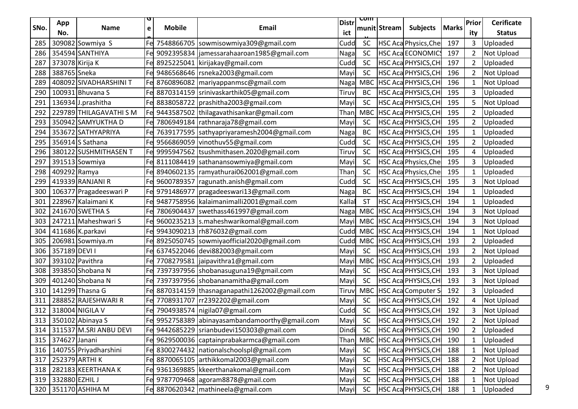|      |                    |                             |             |               |                                                 |                     | <u>com</u> |              |                             |              |                |                                    |
|------|--------------------|-----------------------------|-------------|---------------|-------------------------------------------------|---------------------|------------|--------------|-----------------------------|--------------|----------------|------------------------------------|
| SNo. | App<br>No.         | <b>Name</b>                 | $\mathbf e$ | <b>Mobile</b> | Email                                           | <b>Distr</b><br>ict |            | munit Stream | <b>Subjects</b>             | <b>Marks</b> | Prior<br>ity   | <b>Cerificate</b><br><b>Status</b> |
| 285  |                    | 309082 Sowmiya S            |             |               | Fe 7548866705 sowmisowmiya309@gmail.com         | Cudd                | SC         |              | <b>HSC Aca Physics, Che</b> | 197          | 3              | Uploaded                           |
| 286  |                    | 354594 SANTHIYA             |             |               | Fel 9092395834   jamessarahaaroan1985@gmail.com | Naga                | <b>SC</b>  |              | <b>HSC Aca ECONOMICS</b>    | 197          | 2              | Not Upload                         |
| 287  | 373078 Kirija K    |                             |             |               | Fe 8925225041 kirijakay@gmail.com               | Cudd                | <b>SC</b>  |              | HSC Aca PHYSICS, CH         | 197          | 2              | Uploaded                           |
| 288  | 388765 Sneka       |                             |             |               | Fe 9486568646   rsneka2003@gmail.com            | Mayi                | <b>SC</b>  |              | HSC Aca PHYSICS, CH         | 196          | 2              | Not Upload                         |
| 289  |                    | 408092 SIVADHARSHINI T      |             |               | Fe 8760896082   mariyappanmsc@gmail.com         | Naga                | <b>MBC</b> |              | HSC Aca PHYSICS, CH         | 196          |                | <b>Not Upload</b>                  |
| 290  |                    | 100931 Bhuvana S            |             |               | Fe 8870314159 srinivaskarthik05@gmail.com       | Tiruv               | BC         |              | HSC Aca PHYSICS, CH         | 195          | 3              | Uploaded                           |
| 291  |                    | 136934 J.prashitha          |             |               | Fe 8838058722   prashitha 2003@gmail.com        | Mayi                | <b>SC</b>  |              | <b>HSC Aca PHYSICS, CH</b>  | 195          | 5              | Not Upload                         |
| 292  |                    | 229789 THILAGAVATHI S M     |             |               | Fe 9443587502 thilagavathisankar@gmail.com      | Than                | <b>MBC</b> |              | HSC Aca PHYSICS, CH         | 195          |                | Uploaded                           |
| 293  |                    | 350942 SAMYUKTHA D          |             |               | Fe 7806949184   rathnaraja78@gmail.com          | Mayi                | <b>SC</b>  |              | HSC Aca PHYSICS, CH         | 195          | $\overline{2}$ | Uploaded                           |
| 294  |                    | 353672 SATHYAPRIYA          |             |               | Fe 7639177595 sathyapriyaramesh2004@gmail.com   | Naga                | BC         |              | HSC Aca PHYSICS, CH         | 195          |                | Uploaded                           |
| 295  |                    | 356914 S Sathana            |             |               | Fe 9566869059 vinothuv55@gmail.com              | Cudd                | <b>SC</b>  |              | HSC Aca PHYSICS, CH         | 195          | $\overline{2}$ | Uploaded                           |
| 296  |                    | 380122 SUSHMITHASEN T       |             |               | Fel 9995947562  tsushmithasen.2020@gmail.com    | Tiruv               | <b>SC</b>  |              | <b>HSC Aca PHYSICS, CH</b>  | 195          | 4              | Uploaded                           |
| 297  |                    | 391513 Sowmiya              |             |               | Fe 8111084419 sathanansowmiya@gmail.com         | May                 | <b>SC</b>  |              | HSC Aca Physics, Che        | 195          | 3              | Uploaded                           |
| 298  | 409292 Ramya       |                             |             |               | Fe 8940602135   ramyathurai062001@gmail.com     | Than                | <b>SC</b>  |              | HSC Aca Physics, Che        | 195          |                | Uploaded                           |
| 299  |                    | 419339 RANJANI R            |             |               | Fe 9600789357 ragunath.anish@gmail.com          | Cudd                | <b>SC</b>  |              | HSC Aca PHYSICS, CH         | 195          | 3              | Not Upload                         |
| 300  |                    | 106377 Pragadeeswari P      |             |               | Fe 9791486977 pragadeeswari13@gmail.com         | Nagal               | BC         |              | HSC Aca PHYSICS, CH         | 194          | -1             | Uploaded                           |
| 301  |                    | 228967 Kalaimani K          |             |               | Fe 9487758956 kalaimanimalli2001@gmail.com      | Kalla               | <b>ST</b>  |              | HSC Aca PHYSICS, CH         | 194          |                | Uploaded                           |
| 302  |                    | 241670 SWETHA S             |             |               | Fe 7806904437   swethass461997@gmail.com        | Naga                | <b>MBC</b> |              | HSC Aca PHYSICS, CH         | 194          | 3              | Not Upload                         |
| 303  |                    | 247211 Maheshwari S         |             |               | Fe 9600235213   s.maheshwarikomal@gmail.com     | Mayi                |            |              | MBC   HSC Aca PHYSICS, CH   | 194          | 3              | Not Upload                         |
| 304  |                    | 411686 K.parkavi            |             |               | Fe 9943090213   rh876032@gmail.com              | Cudd                |            |              | MBC   HSC Aca PHYSICS, CH   | 194          |                | <b>Not Upload</b>                  |
| 305  |                    | 206981 Sowmiya.m            |             |               | Fe 8925050745 sowmiyaofficial2020@gmail.com     |                     |            |              | Cudd MBC HSC AcaPHYSICS,CH  | 193          | $\overline{2}$ | Uploaded                           |
| 306  | 357189 DEVI I      |                             |             |               | Fe 6374522046 devi882003@gmail.com              | Mayi                | <b>SC</b>  |              | HSC Aca PHYSICS, CH         | 193          | $\overline{2}$ | Not Upload                         |
| 307  |                    | 393102 Pavithra             |             |               | Fe 7708279581 jaipavithra1@gmail.com            | Mayi                | <b>MBC</b> |              | HSC Aca PHYSICS, CH         | 193          | $\overline{2}$ | Uploaded                           |
| 308  |                    | 393850 Shobana N            |             |               | Fe 7397397956 shobanasuguna19@gmail.com         | Mayi                | <b>SC</b>  |              | HSC Aca PHYSICS, CH         | 193          | 3              | Not Upload                         |
| 309  |                    | 401240 Shobana N            |             |               | Fe 7397397956 shobananamitha@gmail.com          | Mayi                | <b>SC</b>  |              | HSC Aca PHYSICS, CH         | 193          | 3              | <b>Not Upload</b>                  |
| 310  |                    | 141299 Thasna G             |             |               | Fe 8870314159 thasnaganapathi1262002@gmail.com  | Tiruv               | <b>MBC</b> |              | <b>HSC Aca Computer S</b>   | 192          | 3              | Uploaded                           |
| 311  |                    | 288852 RAJESHWARI R         |             |               | 7708931707 rr2392202@gmail.com                  | Mayi                | <b>SC</b>  |              | HSC Aca PHYSICS, CH         | 192          | 4              | Not Upload                         |
|      |                    | 312 318004 NIGILA V         |             |               | Fe 7904938574 nigila07@gmail.com                | Cudd                | <b>SC</b>  |              | HSC Aca PHYSICS, CH         | 192          | 3              | Not Upload                         |
|      |                    | 313 350102 Abinaya S        |             |               | Fel 9952758389 abinayasambandamoorthy@gmail.com | Mayil               | <b>SC</b>  |              | <b>HSC Aca PHYSICS, CH</b>  | 192          | $\overline{2}$ | Not Upload                         |
|      |                    | 314 311537 M.SRI ANBU DEVI  |             |               | Fe 9442685229 srianbudevi150303@gmail.com       | Dindi               | <b>SC</b>  |              | HSC Aca PHYSICS, CH         | 190          | $\overline{2}$ | Uploaded                           |
|      | 315 374627 Janani  |                             |             |               | Fe 9629500036 captainprabakarmca@gmail.com      | Thanj               |            |              | MBC HSC Aca PHYSICS, CH     | 190          |                | Uploaded                           |
|      |                    | 316   140755 Priyadharshini |             |               | Fe 8300274432   nationalschoolspl@gmail.com     | Mayi                | SC         |              | <b>HSC Aca PHYSICS, CH</b>  | 188          |                | Not Upload                         |
|      |                    | 317 252379 ARTHI K          |             |               | Fe 8870065105 arthikkomal2003@gmail.com         | Mayi                | <b>SC</b>  |              | HSC Aca PHYSICS, CH         | 188          | $\overline{2}$ | Not Upload                         |
|      |                    | 318 282183 KEERTHANA K      |             |               | Fe 9361369885   kkeerthanakomal@gmail.com       | Mayi                | <b>SC</b>  |              | HSC Aca PHYSICS, CH         | 188          | $\overline{2}$ | Not Upload                         |
|      | 319 332880 EZHIL J |                             |             |               | Fe 9787709468 agoram8878@gmail.com              | Mayi                | SC         |              | HSC Aca PHYSICS, CH         | 188          |                | Not Upload                         |
|      |                    | 320 351170 ASHIHA M         |             |               | Fe 8870620342 mathineela@gmail.com              | Mayil               | SC         |              | HSC Aca PHYSICS, CH         | 188          |                | Uploaded                           |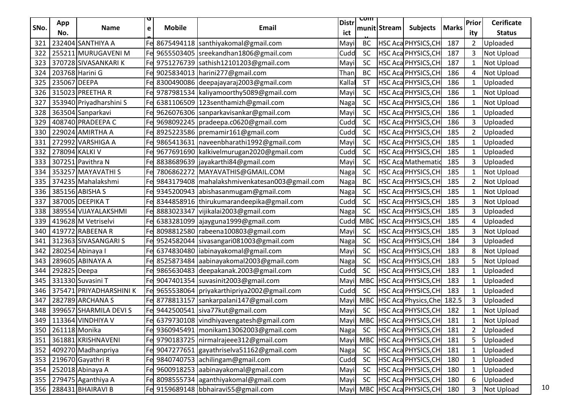|      | App            |                         |   |               |                                                    | <b>Distr</b> | प्णा       |              |                               |              | <b>Prior</b>   | <b>Cerificate</b> |
|------|----------------|-------------------------|---|---------------|----------------------------------------------------|--------------|------------|--------------|-------------------------------|--------------|----------------|-------------------|
| SNo. | No.            | <b>Name</b>             | e | <b>Mobile</b> | <b>Email</b>                                       | ict          |            | munit Stream | <b>Subjects</b>               | <b>Marks</b> | ity            | <b>Status</b>     |
| 321  |                | 232404 SANTHIYA A       |   |               | Fe 8675494118 santhiyakomal@gmail.com              | Mayi         | <b>BC</b>  |              | HSC Aca PHYSICS, CH           | 187          | $\overline{2}$ | Uploaded          |
| 322  |                | 255211 MURUGAVENI M     |   |               | Fel 9655503405  sreekandhan1806@gmail.com          | Cudd         | <b>SC</b>  |              | HSC Aca PHYSICS, CH           | 187          | 3              | <b>Not Upload</b> |
| 323  |                | 370728 SIVASANKARIK     |   |               | Fe 9751276739 sathish12101203@gmail.com            | Mayi         | <b>SC</b>  |              | HSC Aca PHYSICS, CH           | 187          | $\mathbf{1}$   | Not Upload        |
| 324  |                | 203768 Harini G         |   |               | Fe 9025834013 harini277@gmail.com                  | Than         | <b>BC</b>  |              | HSC Aca PHYSICS, CH           | 186          | 4              | Not Upload        |
| 325  | 235067 DEEPA   |                         |   |               | Fe 8300490086 deepajayaraj2003@gmail.com           | Kalla        | <b>ST</b>  |              | HSC Aca PHYSICS, CH           | 186          | $\mathbf{1}$   | Uploaded          |
| 326  |                | 315023 PREETHA R        |   |               | Fel 9787981534   kaliyamoorthy 5089@gmail.com      | Mayi         | <b>SC</b>  |              | HSC Aca PHYSICS, CH           | 186          | $\mathbf{1}$   | Not Upload        |
| 327  |                | 353940 Priyadharshini S |   |               | Fe 6381106509 123senthamizh@gmail.com              | Naga         | <b>SC</b>  |              | HSC Aca PHYSICS, CH           | 186          | $\mathbf{1}$   | Not Upload        |
| 328  |                | 363504 Sanparkavi       |   |               | Fe 9626076306 sanparkavisankar@gmail.com           | Mayi         | <b>SC</b>  |              | HSC Aca PHYSICS, CH           | 186          | $\mathbf{1}$   | Uploaded          |
| 329  |                | 408740 PRADEEPA C       |   |               | Fe 9698092245   pradeepa.c0620@gmail.com           | Cudd         | <b>SC</b>  |              | HSC Aca PHYSICS, CH           | 186          | 3              | Uploaded          |
| 330  |                | 229024 AMIRTHA A        |   |               | Fe 8925223586 premamir161@gmail.com                | Cudd         | <b>SC</b>  |              | HSC Aca PHYSICS, CH           | 185          | $\overline{2}$ | Uploaded          |
| 331  |                | 272992 VARSHIGA A       |   |               | Fe 9865413631   naveenbharathi 1992@gmail.com      | Mayi         | <b>SC</b>  |              | HSC Aca PHYSICS, CH           | 185          | $\mathbf{1}$   | Uploaded          |
| 332  | 278094 KALKI V |                         |   |               | Fe 9677691690   kalkivelmurugan2020@gmail.com      | Cudd         | <b>SC</b>  |              | HSC Aca PHYSICS, CH           | 185          | $\mathbf{1}$   | Uploaded          |
| 333  |                | 307251 Pavithra N       |   |               | Fe 8838689639 jayakarthi84@gmail.com               | Mayi         | <b>SC</b>  |              | <b>HSC Aca Mathematio</b>     | 185          | 3              | Uploaded          |
| 334  |                | 353257 MAYAVATHI S      |   |               | Fe 7806862272 MAYAVATHIS@GMAIL.COM                 | Naga         | <b>SC</b>  |              | HSC Aca PHYSICS, CH           | 185          | $\mathbf{1}$   | Not Upload        |
| 335  |                | 374235 Mahalakshmi      |   |               | Fe 9843179408   mahalakshmivenkatesan003@gmail.com | Naga         | BC         |              | HSC Aca PHYSICS, CH           | 185          | $\overline{2}$ | <b>Not Upload</b> |
| 336  |                | 385156 ABISHA S         |   |               | Fe 9345200943 abishasanmugam@gmail.com             | Naga         | <b>SC</b>  |              | HSC Aca PHYSICS, CH           | 185          | $\mathbf{1}$   | <b>Not Upload</b> |
| 337  |                | 387005 DEEPIKA T        |   |               | Fe 8344858916 thirukumarandeepika@gmail.com        | Cudd         | <b>SC</b>  |              | HSC Aca PHYSICS, CH           | 185          | 3              | Not Upload        |
| 338  |                | 389554 VIJAYALAKSHMI    |   |               | Fe 8883023347 vijikalai2003@gmail.com              | Naga         | <b>SC</b>  |              | HSC Aca PHYSICS, CH           | 185          | 3              | Uploaded          |
| 339  |                | 419628 M Vetriselvi     |   |               | Fel 6383281099 ajayguna1999@gmail.com              | Cudd         | MBC        |              | HSC Aca PHYSICS, CH           | 185          | 4              | Uploaded          |
| 340  |                | 419772 RABEENA R        |   |               | Fe 8098812580   rabeena100803@gmail.com            | Mayi         | <b>SC</b>  |              | HSC Aca PHYSICS, CH           | 185          | 3              | Not Upload        |
| 341  |                | 312363 SIVASANGARI S    |   |               | Fe 9524582044 sivasangari081003@gmail.com          | Nagal        | <b>SC</b>  |              | HSC Aca PHYSICS, CH           | 184          | 3              | Uploaded          |
| 342  |                | 280254 Abinaya I        |   |               | Fe 6374830480 liabinayakomal@gmail.com             | Mayi         | <b>SC</b>  |              | HSC Aca PHYSICS, CH           | 183          | 8              | Not Upload        |
| 343  |                | 289605 ABINAYA A        |   |               | Fel 8525873484 aabinayakomal2003@gmail.com         | Naga         | <b>SC</b>  |              | HSC Aca PHYSICS, CH           | 183          | 5              | Not Upload        |
| 344  | 292825 Deepa   |                         |   |               | Fel 9865630483   deepakanak.2003@gmail.com         | Cudd         | <b>SC</b>  |              | HSC Aca PHYSICS, CH           | 183          | 1              | Uploaded          |
| 345  |                | 331330 Suvasini T       |   |               | Fe 9047401354  suvasinit2003@gmail.com             | Mayi         | <b>MBC</b> |              | HSC Aca PHYSICS, CH           | 183          | $\mathbf{1}$   | Uploaded          |
| 346  |                | 375471 PRIYADHARSHINI K |   |               | Fel 9655538064   priyakarthipriya2002@gmail.com    | Cudd         | <b>SC</b>  |              | HSC Aca PHYSICS, CH           | 183          | $\mathbf{1}$   | Uploaded          |
| 347  |                | 282789 ARCHANA S        |   |               | Fe 8778813157 sankarpalani147@gmail.com            | Mayi         | <b>MBC</b> |              | HSC Aca Physics, Che 182.5    |              | 3              | Uploaded          |
| 348  |                | 399657 SHARMILA DEVI S  |   |               | Fe 9442500541 siva77kut@gmail.com                  | Mayil        | <b>SC</b>  |              | HSC Aca PHYSICS, CH           | 182          | $\mathbf{1}$   | Not Upload        |
| 349  |                | 113364 VINDHIYA V       |   |               | Fel 6379730108 vindhiyavengatesh@gmail.com         |              |            |              | Mayil MBC HSC Aca PHYSICS, CH | 181          | $\mathbf{1}$   | Not Upload        |
| 350  | 261118 Monika  |                         |   |               | Fe 9360945491   monikam13062003@gmail.com          | <b>Nagal</b> | <b>SC</b>  |              | HSC Aca PHYSICS, CH           | 181          | $\overline{2}$ | Uploaded          |
| 351  |                | 361881 KRISHNAVENI      |   |               | Fe 9790183725   nirmalrajeee312@gmail.com          | Mayil        | <b>MBC</b> |              | HSC Aca PHYSICS, CH           | 181          | 5              | Uploaded          |
| 352  |                | 409270 Madhanpriya      |   |               | Fe 9047277651 gayathriselva51162@gmail.com         | Nagal        | <b>SC</b>  |              | HSC Aca PHYSICS, CH           | 181          | $\mathbf{1}$   | Uploaded          |
| 353  |                | 219670 Gayathri R       |   |               | Fe 9840740753 achilingam@gmail.com                 | Cudd         | <b>SC</b>  |              | HSC Aca PHYSICS, CH           | 180          | $\mathbf{1}$   | Uploaded          |
| 354  |                | 252018 Abinaya A        |   |               | Fe 9600918253 aabinayakomal@gmail.com              | Mayi         | <b>SC</b>  |              | HSC Aca PHYSICS, CH           | 180          | $\mathbf{1}$   | Uploaded          |
| 355  |                | 279475 Aganthiya A      |   |               | Fe 8098555734 aganthiyakomal@gmail.com             | Mayil        | <b>SC</b>  |              | HSC Aca PHYSICS, CH           | 180          | 6              | Uploaded          |
| 356  |                | 288431 BHAIRAVI B       |   |               | Fe 9159689148 bbhairavi55@gmail.com                |              |            |              | Mayil MBC HSC AcaPHYSICS, CH  | 180          | 3              | <b>Not Upload</b> |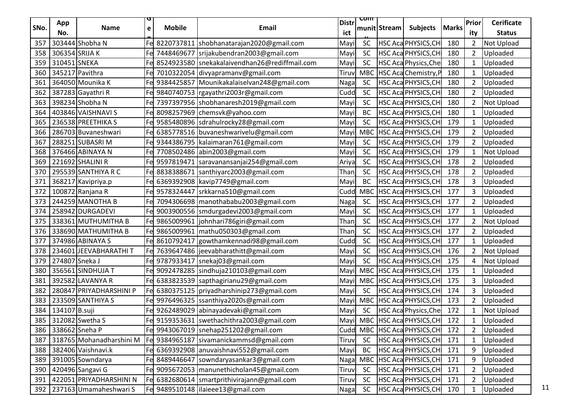| SNo. | App             | Name                     | e   | <b>Mobile</b> | Email                                           | <b>Distr</b> | <u> ८णाा</u> | munit Stream | <b>Subjects</b>               | <b>Marks</b> | Prior          | <b>Cerificate</b> |
|------|-----------------|--------------------------|-----|---------------|-------------------------------------------------|--------------|--------------|--------------|-------------------------------|--------------|----------------|-------------------|
|      | No.             |                          |     |               |                                                 | ict          |              |              |                               |              | ity            | <b>Status</b>     |
| 357  |                 | 303444 Shobha N          |     |               | Fe 8220737811 shobhanatarajan2020@gmail.com     | Mayi         | <b>SC</b>    |              | HSC Aca PHYSICS, CH           | 180          | $\overline{2}$ | Not Upload        |
| 358  | 306354 SRIJA K  |                          |     |               | 7448469677 srijakubendran2003@gmail.com         | Mayi         | <b>SC</b>    |              | HSC Aca PHYSICS, CH           | 180          | $\overline{2}$ | Uploaded          |
| 359  | 310451 SNEKA    |                          |     |               | 8524923580   snekakalaivendhan26@rediffmail.com | Mayi         | <b>SC</b>    |              | HSC Aca Physics, Che          | 180          | $\mathbf{1}$   | Uploaded          |
| 360  | 345217 Pavithra |                          |     |               | Fe 7010322054 divyapramanv@gmail.com            | Tiruy        | <b>MBC</b>   |              | HSC Aca Chemistry, P          | 180          | $\mathbf{1}$   | Uploaded          |
| 361  |                 | 364050 Mounika K         |     |               | Fe 9384425857 Mounikakalaiselvan248@gmail.com   | Naga         | <b>SC</b>    |              | HSC Aca PHYSICS, CH           | 180          | $\overline{2}$ | Uploaded          |
| 362  |                 | 387283 Gayathri R        |     |               | Fe 9840740753   rgayathri2003r@gmail.com        | Cudd         | <b>SC</b>    |              | HSC Aca PHYSICS, CH           | 180          | $\overline{2}$ | Uploaded          |
| 363  |                 | 398234 Shobha N          |     |               | 7397397956 shobhanaresh2019@gmail.com           | Mayi         | <b>SC</b>    |              | HSC Aca PHYSICS, CH           | 180          | $\overline{2}$ | Not Upload        |
| 364  |                 | 403846 VAISHNAVI S       |     |               | 8098257969 chemsvk@yahoo.com                    | Mayi         | BC           |              | HSC Aca PHYSICS, CH           | 180          | 1              | Uploaded          |
| 365  |                 | 236538 PREETHIKA S       |     |               | Fe 9585480896 sdrahulrocky28@gmail.com          | Mayi         | <b>SC</b>    |              | HSC Aca PHYSICS, CH           | 179          | $\mathbf{1}$   | Uploaded          |
| 366  |                 | 286703 Buvaneshwari      |     |               | Fel 6385778516 buvaneshwarivelu@gmail.com       | May          | <b>MBC</b>   |              | HSC Aca PHYSICS, CH           | 179          | $\overline{2}$ | Uploaded          |
| 367  |                 | 288251 SUBASRIM          |     |               | Fe 9344386795 kalaimaran761@gmail.com           | Mayi         | <b>SC</b>    |              | HSC Aca PHYSICS, CH           | 179          | $\overline{2}$ | Uploaded          |
| 368  |                 | 376466 ABINAYA N         |     |               | 7708502486 abin2003@gmail.com                   | Mayi         | <b>SC</b>    |              | HSC Aca PHYSICS, CH           | 179          | $\mathbf{1}$   | Not Upload        |
| 369  |                 | 221692 SHALINI R         |     |               | Fe 9597819471   saravanansanjai254@gmail.com    | Ariya        | <b>SC</b>    |              | HSC Aca PHYSICS, CH           | 178          | $\overline{2}$ | Uploaded          |
| 370  |                 | 295539 SANTHIYA R C      |     |               | Fe 8838388671   santhiyarc2003@gmail.com        | Than         | <b>SC</b>    |              | HSC Aca PHYSICS, CH           | 178          | $\overline{2}$ | Uploaded          |
| 371  |                 | 368217 Kavipriya.p       |     |               | Fe 6369392908 kavip7749@gmail.com               | Mayi         | BC           |              | HSC Aca PHYSICS, CH           | 178          | 3              | Uploaded          |
| 372  |                 | 100872 Ranjana R         |     |               | Fe 9578324447 srkkarna510@gmail.com             | Cudd         | <b>MBC</b>   |              | HSC Aca PHYSICS, CH           | 177          | 3              | Uploaded          |
| 373  |                 | 244259 MANOTHA B         |     |               | 7094306698   manothababu2003@gmail.com          | Nagal        | <b>SC</b>    |              | HSC Aca PHYSICS, CH           | 177          | $\overline{2}$ | Uploaded          |
| 374  |                 | 258942 DURGADEVI         |     |               | 9003900556  smdurgadevi2003@gmail.com           | Mayi         | <b>SC</b>    |              | HSC Aca PHYSICS, CH           | 177          | 1              | Uploaded          |
| 375  |                 | 338361 MUTHUMITHA B      |     |               | Fe 9865009961 johnhari786giri@gmail.com         | Than         | <b>SC</b>    |              | HSC Aca PHYSICS, CH           | 177          | $\overline{2}$ | Not Upload        |
| 376  |                 | 338690 MATHUMITHA B      |     |               | Fe 9865009961   mathu050303@gmail.com           | Than         | <b>SC</b>    |              | HSC Aca PHYSICS, CH           | 177          | $\overline{2}$ | Uploaded          |
| 377  |                 | 374986 ABINAYA S         |     |               | Fe 8610792417 gowthamkennadi98@gmail.com        | Cudd         | <b>SC</b>    |              | HSC Aca PHYSICS, CH           | 177          | $\mathbf{1}$   | Uploaded          |
| 378  |                 | 234601 JEEVABHARATHI T   |     |               | Fe 7639647486 jeevabharathitt@gmail.com         | Mayi         | <b>SC</b>    |              | HSC Aca PHYSICS, CH           | 176          | $\overline{2}$ | Not Upload        |
| 379  | 274807 Sneka J  |                          |     |               | Fe 9787933417   snekaj03@gmail.com              | Mayi         | SC           |              | HSC Aca PHYSICS, CH           | 175          | $\overline{4}$ | Not Upload        |
| 380  |                 | 356561 SINDHUJA T        |     |               | Fel 9092478285 sindhuja210103@gmail.com         | May          | <b>MBC</b>   |              | HSC Aca PHYSICS, CH           | 175          | $\mathbf{1}$   | Uploaded          |
| 381  |                 | 392582 LAVANYA R         |     |               | 6383823539 sapthagirianu29@gmail.com            | May          | <b>MBC</b>   |              | HSC Aca PHYSICS, CH           | 175          | 3              | Uploaded          |
| 382  |                 | 280847 PRIYADHARSHINI P  |     |               | Fe 6380375125 priyadharshinip273@gmail.com      | Mayi         | <b>SC</b>    |              | HSC Aca PHYSICS, CH           | 174          | 3              | Uploaded          |
| 383  |                 | 233509 SANTHIYA S        |     |               | 9976496325 ssanthiya2020s@gmail.com             | Mayi         |              |              | MBC   HSC Aca PHYSICS, CH     | 173          | $\overline{2}$ | Uploaded          |
| 384  | 134107 B.suji   |                          |     |               | Fe 9262489029 abinayadevaki@gmail.com           | Mayi         | <b>SC</b>    |              | <b>HSC Aca Physics, Che</b>   | 172          | 1              | Not Upload        |
| 385  |                 | 312082 Swetha S          |     |               | Fel 9159353631 swethachithra2003@gmail.com      |              |              |              | Mayil MBC HSC Aca PHYSICS, CH | 172          | $\mathbf{1}$   | Uploaded          |
| 386  | 338662 Sneha P  |                          |     |               | Fe 9943067019   snehap 251202@gmail.com         | Cudd         | <b>MBC</b>   |              | HSC Aca PHYSICS, CH           | 172          | $\overline{2}$ | Uploaded          |
| 387  |                 | 318765 Mohanadharshini M |     |               | Fe 9384965187 sivamanickammsd@gmail.com         | Tiruv        | <b>SC</b>    |              | HSC Aca PHYSICS, CH           | 171          | $\mathbf{1}$   | Uploaded          |
| 388  |                 | 382406 Vaishnavi.k       |     |               | Fe 6369392908 anuvaishnavi552@gmail.com         | Mayi         | BC           |              | HSC Aca PHYSICS, CH           | 171          | 9              | Uploaded          |
| 389  |                 | 391005 Sowndarya         | Fel |               | 8489446647 sowndaryasankar3@gmail.com           | Nagal        | <b>MBC</b>   |              | HSC Aca PHYSICS, CH           | 171          | 9              | Uploaded          |
| 390  |                 | 420496 Sangavi G         |     |               | Fe 9095672053   manunethicholan45@gmail.com     | Tiruv        | <b>SC</b>    |              | HSC Aca PHYSICS, CH           | 171          | $\overline{2}$ | Uploaded          |
| 391  |                 | 422051 PRIYADHARSHINI N  |     |               | Fe 6382680614   smartprithivirajann@gmail.com   | Tiruv        | <b>SC</b>    |              | HSC Aca PHYSICS, CH           | 171          | $\overline{2}$ | Uploaded          |
| 392  |                 | 237163 Umamaheshwari S   |     |               | Fe 9489510148 lilaieee13@gmail.com              | Naga         | <b>SC</b>    |              | HSC Aca PHYSICS, CH           | 170          | 1              | Uploaded          |